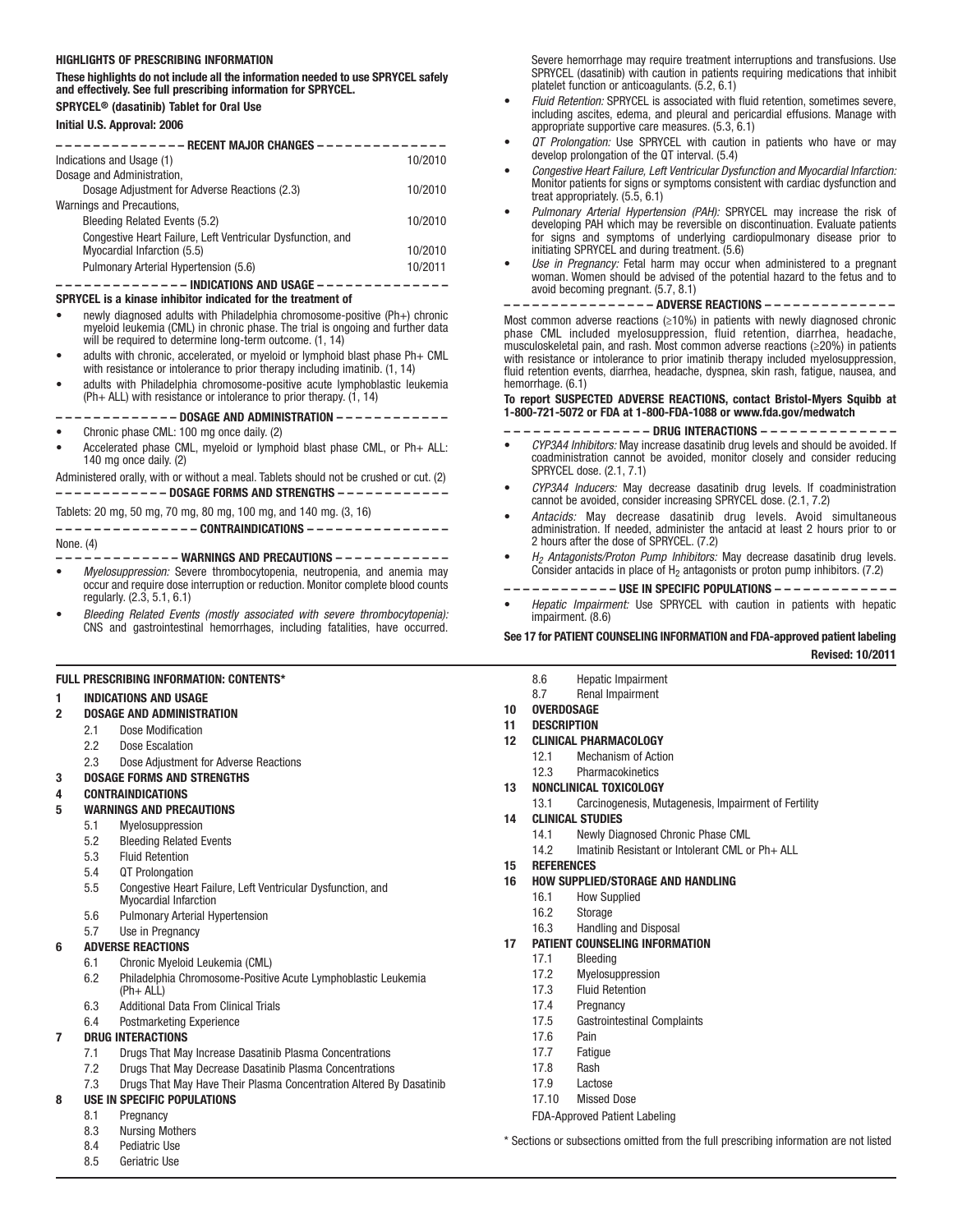## **HIGHLIGHTS OF PRESCRIBING INFORMATION**

## **These highlights do not include all the information needed to use SPRYCEL safely and effectively. See full prescribing information for SPRYCEL.**

## **SPRYCEL® (dasatinib) Tablet for Oral Use**

## **Initial U.S. Approval: 2006**

| ––––––––– – RECENT MAJOR CHANGES ––––                       |         |  |  |  |
|-------------------------------------------------------------|---------|--|--|--|
| Indications and Usage (1)                                   | 10/2010 |  |  |  |
| Dosage and Administration,                                  |         |  |  |  |
| Dosage Adjustment for Adverse Reactions (2.3)               | 10/2010 |  |  |  |
| Warnings and Precautions,                                   |         |  |  |  |
| Bleeding Related Events (5.2)                               | 10/2010 |  |  |  |
| Congestive Heart Failure, Left Ventricular Dysfunction, and |         |  |  |  |
| Myocardial Infarction (5.5)                                 | 10/2010 |  |  |  |
| Pulmonary Arterial Hypertension (5.6)                       | 10/2011 |  |  |  |
| <b>INDICATIONS AND USAGE</b>                                |         |  |  |  |

## **SPRYCEL is a kinase inhibitor indicated for the treatment of**

- newly diagnosed adults with Philadelphia chromosome-positive (Ph+) chronic myeloid leukemia (CML) in chronic phase. The trial is ongoing and further data will be required to determine long-term outcome. (1, 14)
- adults with chronic, accelerated, or myeloid or lymphoid blast phase Ph+ CML with resistance or intolerance to prior therapy including imatinib. (1, 14)
- adults with Philadelphia chromosome-positive acute lymphoblastic leukemia  $(Ph+ ALL)$  with resistance or intolerance to prior therapy.  $(1, 14)$
- **– – – – – – DOSAGE AND ADMINISTRATION – – – – – –**
- Chronic phase CML: 100 mg once daily. (2)
- Accelerated phase CML, myeloid or lymphoid blast phase CML, or Ph+ ALL: 140 mg once daily. (2)

Administered orally, with or without a meal. Tablets should not be crushed or cut. (2)

#### **– – – – – – – – – – – – DOSAGE FORMS AND STRENGTHS – – – – – – – – – – – –**

Tablets: 20 mg, 50 mg, 70 mg, 80 mg, 100 mg, and 140 mg. (3, 16)

**– – – – – – – – – – – – – – – CONTRAINDICATIONS – – – – – – – – – – – – – – –**  None. (4)

## **– – – – – – – – – – – – – WARNINGS AND PRECAUTIONS – – – – – – – – – – – –**

- Myelosuppression: Severe thrombocytopenia, neutropenia, and anemia may occur and require dose interruption or reduction. Monitor complete blood counts regularly. (2.3, 5.1, 6.1)
- Bleeding Related Events (mostly associated with severe thrombocytopenia): CNS and gastrointestinal hemorrhages, including fatalities, have occurred.

## **FULL PRESCRIBING INFORMATION: CONTENTS\***

#### **1 INDICATIONS AND USAGE**

## **2 DOSAGE AND ADMINISTRATION**

- 2.1 Dose Modification
	- 2.2 Dose Escalation
	- 2.3 Dose Adjustment for Adverse Reactions
- **3 DOSAGE FORMS AND STRENGTHS**

#### **4 CONTRAINDICATIONS**

#### **5 WARNINGS AND PRECAUTIONS**

- 5.1 Myelosuppression
- 5.2 Bleeding Related Events
- 5.3 Fluid Retention
- 5.4 QT Prolongation
- 5.5 Congestive Heart Failure, Left Ventricular Dysfunction, and Myocardial Infarction
- 5.6 Pulmonary Arterial Hypertension
- 5.7 Use in Pregnancy

## **6 ADVERSE REACTIONS**

- 6.1 Chronic Myeloid Leukemia (CML)
- 6.2 Philadelphia Chromosome-Positive Acute Lymphoblastic Leukemia  $(Ph+ Al)$
- 6.3 Additional Data From Clinical Trials
- 6.4 Postmarketing Experience

## **7 DRUG INTERACTIONS**

- 7.1 Drugs That May Increase Dasatinib Plasma Concentrations
- 7.2 Drugs That May Decrease Dasatinib Plasma Concentrations
- 7.3 Drugs That May Have Their Plasma Concentration Altered By Dasatinib

## **8 USE IN SPECIFIC POPULATIONS**

- 8.1 Pregnancy
- 8.3 Nursing Mothers
- 8.4 Pediatric Use
- 8.5 Geriatric Use

Severe hemorrhage may require treatment interruptions and transfusions. Use SPRYCEL (dasatinib) with caution in patients requiring medications that inhibit platelet function or anticoagulants. (5.2, 6.1)

- Fluid Retention: SPRYCEL is associated with fluid retention, sometimes severe, including ascites, edema, and pleural and pericardial effusions. Manage with appropriate supportive care measures. (5.3, 6.1)
- QT Prolongation: Use SPRYCEL with caution in patients who have or may develop prolongation of the QT interval. (5.4)
- Congestive Heart Failure, Left Ventricular Dysfunction and Myocardial Infarction: Monitor patients for signs or symptoms consistent with cardiac dysfunction and treat appropriately. (5.5, 6.1)
- Pulmonary Arterial Hypertension (PAH): SPRYCEL may increase the risk of developing PAH which may be reversible on discontinuation. Evaluate patients for signs and symptoms of underlying cardiopulmonary disease prior to initiating SPRYCEL and during treatment. (5.6)
- Use in Pregnancy: Fetal harm may occur when administered to a pregnant woman. Women should be advised of the potential hazard to the fetus and to avoid becoming pregnant. (5.7, 8.1)
- **– – – – – – – – ADVERSE REACTIONS – – – – – – –**

Most common adverse reactions (≥10%) in patients with newly diagnosed chronic phase CML included myelosuppression, fluid retention, diarrhea, headache, musculoskeletal pain, and rash. Most common adverse reactions (≥20%) in patients with resistance or intolerance to prior imatinib therapy included myelosuppression, fluid retention events, diarrhea, headache, dyspnea, skin rash, fatigue, nausea, and hemorrhage. (6.1)

#### **To report SUSPECTED ADVERSE REACTIONS, contact Bristol-Myers Squibb at 1-800-721-5072 or FDA at 1-800-FDA-1088 or www.fda.gov/medwatch**

- **– – – – – – – DRUG INTERACTIONS – – – – – – –**
- CYP3A4 Inhibitors: May increase dasatinib drug levels and should be avoided. If coadministration cannot be avoided, monitor closely and consider reducing SPRYCEL dose. (2.1, 7.1)
- CYP3A4 Inducers: May decrease dasatinib drug levels. If coadministration cannot be avoided, consider increasing SPRYCEL dose. (2.1, 7.2)
- Antacids: May decrease dasatinib drug levels. Avoid simultaneous administration. If needed, administer the antacid at least 2 hours prior to or 2 hours after the dose of SPRYCEL. (7.2)
- $H_2$  Antagonists/Proton Pump Inhibitors: May decrease dasatinib drug levels. Consider antacids in place of  $H_2$  antagonists or proton pump inhibitors. (7.2)
- **– – – – – – USE IN SPECIFIC POPULATIONS – – – – – – –**
- Hepatic Impairment: Use SPRYCEL with caution in patients with hepatic impairment. (8.6)

## **See 17 for PATIENT COUNSELING INFORMATION and FDA-approved patient labeling Revised: 10/2011**

- 8.6 Hepatic Impairment
- 8.7 Renal Impairment
- **10 OVERDOSAGE**
- **11 DESCRIPTION**
- **12 CLINICAL PHARMACOLOGY** 
	- 12.1 Mechanism of Action
- 12.3 Pharmacokinetics
- **13 NONCLINICAL TOXICOLOGY**
- 13.1 Carcinogenesis, Mutagenesis, Impairment of Fertility **14 CLINICAL STUDIES** 
	- 14.1 Newly Diagnosed Chronic Phase CML
	- 14.2 Imatinib Resistant or Intolerant CML or Ph+ ALL
- **15 REFERENCES**

#### **16 HOW SUPPLIED/STORAGE AND HANDLING**

- 16.1 How Supplied
- 16.2 Storage
- 16.3 Handling and Disposal
- **17 PATIENT COUNSELING INFORMATION** 
	- 17.1 Bleeding
	- 17.2 Myelosuppression
	- 17.3 Fluid Retention
	- 17.4 Pregnancy
	- 17.5 Gastrointestinal Complaints
	- 17.6 Pain
	- 17.7 Fatigue
	- 17.8 Rash
	- 17.9 Lactose
	- 17.10 Missed Dose
	- FDA-Approved Patient Labeling

\* Sections or subsections omitted from the full prescribing information are not listed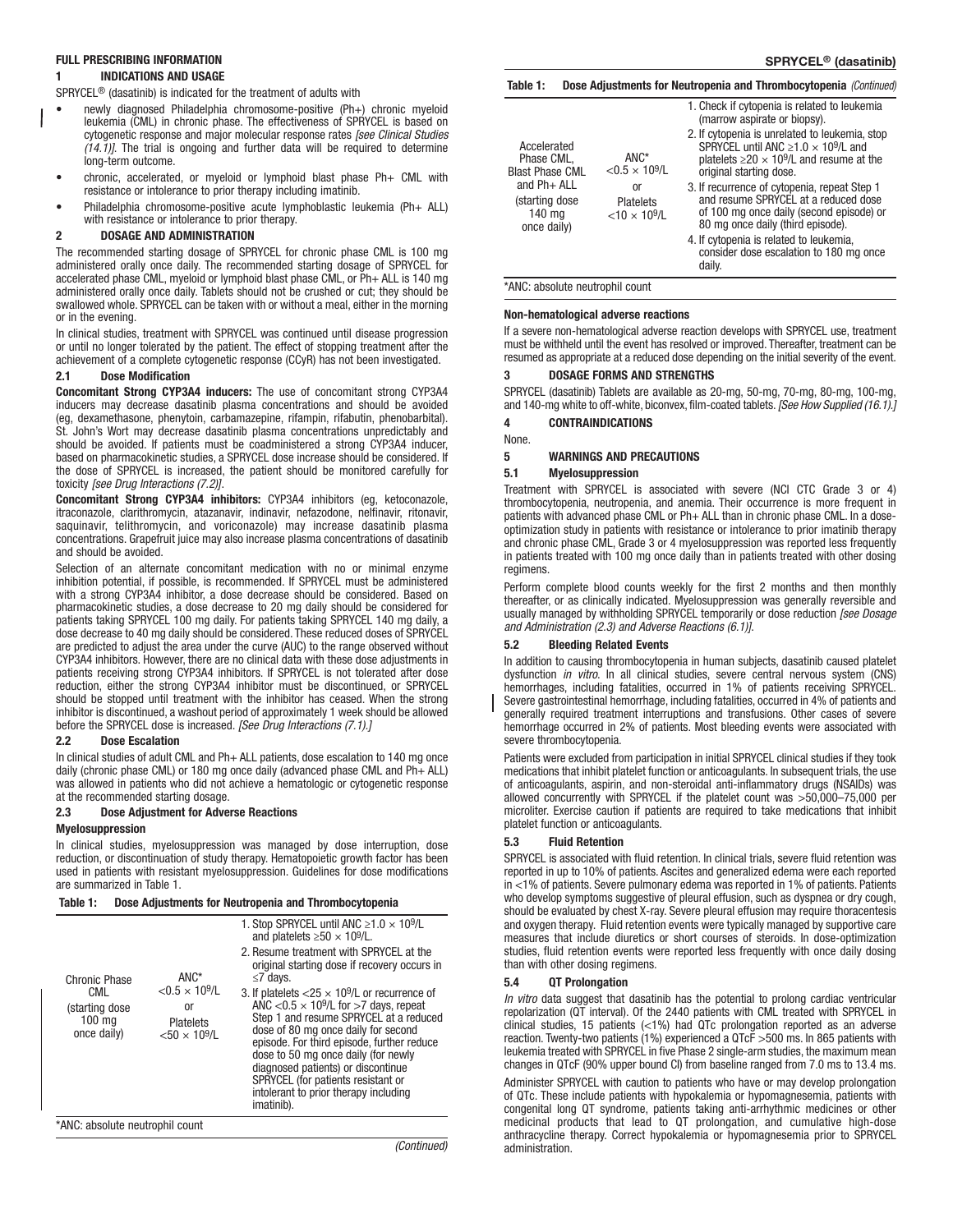#### **FULL PRESCRIBING INFORMATION 1 INDICATIONS AND USAGE**

SPRYCEL® (dasatinib) is indicated for the treatment of adults with

- newly diagnosed Philadelphia chromosome-positive (Ph+) chronic myeloid leukemia (CML) in chronic phase. The effectiveness of SPRYCEL is based on cytogenetic response and major molecular response rates [see Clinical Studies (14.1)]. The trial is ongoing and further data will be required to determine long-term outcome.
- chronic, accelerated, or myeloid or lymphoid blast phase Ph+ CML with resistance or intolerance to prior therapy including imatinib.
- Philadelphia chromosome-positive acute lymphoblastic leukemia (Ph+ ALL) with resistance or intolerance to prior therapy.

## **2 DOSAGE AND ADMINISTRATION**

The recommended starting dosage of SPRYCEL for chronic phase CML is 100 mg administered orally once daily. The recommended starting dosage of SPRYCEL for accelerated phase CML, myeloid or lymphoid blast phase CML, or Ph+ ALL is 140 mg administered orally once daily. Tablets should not be crushed or cut; they should be swallowed whole. SPRYCEL can be taken with or without a meal, either in the morning or in the evening.

In clinical studies, treatment with SPRYCEL was continued until disease progression or until no longer tolerated by the patient. The effect of stopping treatment after the achievement of a complete cytogenetic response (CCyR) has not been investigated.

#### **2.1 Dose Modification**

**Concomitant Strong CYP3A4 inducers:** The use of concomitant strong CYP3A4 inducers may decrease dasatinib plasma concentrations and should be avoided (eg, dexamethasone, phenytoin, carbamazepine, rifampin, rifabutin, phenobarbital). St. John's Wort may decrease dasatinib plasma concentrations unpredictably and should be avoided. If patients must be coadministered a strong CYP3A4 inducer, based on pharmacokinetic studies, a SPRYCEL dose increase should be considered. If the dose of SPRYCEL is increased, the patient should be monitored carefully for toxicity [see Drug Interactions (7.2)].

**Concomitant Strong CYP3A4 inhibitors:** CYP3A4 inhibitors (eg, ketoconazole, itraconazole, clarithromycin, atazanavir, indinavir, nefazodone, nelfinavir, ritonavir, saquinavir, telithromycin, and voriconazole) may increase dasatinib plasma concentrations. Grapefruit juice may also increase plasma concentrations of dasatinib and should be avoided.

Selection of an alternate concomitant medication with no or minimal enzyme inhibition potential, if possible, is recommended. If SPRYCEL must be administered with a strong CYP3A4 inhibitor, a dose decrease should be considered. Based on pharmacokinetic studies, a dose decrease to 20 mg daily should be considered for patients taking SPRYCEL 100 mg daily. For patients taking SPRYCEL 140 mg daily, a dose decrease to 40 mg daily should be considered. These reduced doses of SPRYCEL are predicted to adjust the area under the curve (AUC) to the range observed without CYP3A4 inhibitors. However, there are no clinical data with these dose adjustments in patients receiving strong CYP3A4 inhibitors. If SPRYCEL is not tolerated after dose reduction, either the strong CYP3A4 inhibitor must be discontinued, or SPRYCEL should be stopped until treatment with the inhibitor has ceased. When the strong inhibitor is discontinued, a washout period of approximately 1 week should be allowed before the SPRYCEL dose is increased. [See Drug Interactions (7.1).]

## **2.2 Dose Escalation**

In clinical studies of adult CML and Ph+ ALL patients, dose escalation to 140 mg once daily (chronic phase CML) or 180 mg once daily (advanced phase CML and Ph+ ALL) was allowed in patients who did not achieve a hematologic or cytogenetic response at the recommended starting dosage.

## **2.3 Dose Adjustment for Adverse Reactions**

#### **Myelosuppression**

In clinical studies, myelosuppression was managed by dose interruption, dose reduction, or discontinuation of study therapy. Hematopoietic growth factor has been used in patients with resistant myelosuppression. Guidelines for dose modifications are summarized in Table 1.

#### **Table 1: Dose Adjustments for Neutropenia and Thrombocytopenia**

| ANC*<br>Chronic Phase<br>$< 0.5 \times 10^{9}$ /I<br><b>CML</b><br>(starting dose<br>or<br>$100 \text{ mg}$<br><b>Platelets</b><br>once daily)<br>$< 50 \times 10^{9}/L$ | 1. Stop SPRYCEL until ANC $\geq 1.0 \times 10^9$ /L<br>and platelets $\geq 50 \times 10^9$ /L.<br>2. Resume treatment with SPRYCEL at the<br>original starting dose if recovery occurs in<br>$\leq$ 7 days.<br>3. If platelets $<$ 25 $\times$ 10 <sup>9</sup> /L or recurrence of<br>ANC < $0.5 \times 10^9$ /L for >7 days, repeat<br>Step 1 and resume SPRYCEL at a reduced<br>dose of 80 mg once daily for second<br>episode. For third episode, further reduce<br>dose to 50 mg once daily (for newly<br>diagnosed patients) or discontinue<br>SPRYCEL (for patients resistant or<br>intolerant to prior therapy including<br>imatinib). |
|--------------------------------------------------------------------------------------------------------------------------------------------------------------------------|-----------------------------------------------------------------------------------------------------------------------------------------------------------------------------------------------------------------------------------------------------------------------------------------------------------------------------------------------------------------------------------------------------------------------------------------------------------------------------------------------------------------------------------------------------------------------------------------------------------------------------------------------|
| *ANC: absolute neutrophil count                                                                                                                                          |                                                                                                                                                                                                                                                                                                                                                                                                                                                                                                                                                                                                                                               |

(Continued)

**Table 1: Dose Adjustments for Neutropenia and Thrombocytopenia** (Continued)

|                                                        |                                                  | 1. Check if cytopenia is related to leukemia<br>(marrow aspirate or biopsy).                                                                                                                      |
|--------------------------------------------------------|--------------------------------------------------|---------------------------------------------------------------------------------------------------------------------------------------------------------------------------------------------------|
| Accelerated<br>Phase CML,<br><b>Blast Phase CML</b>    | $ANC*$<br>$< 0.5 \times 10^{9}/L$                | 2. If cytopenia is unrelated to leukemia, stop<br>SPRYCEL until ANC $\geq 1.0 \times 10^9$ /L and<br>platelets $\geq$ 20 $\times$ 10 <sup>9</sup> /L and resume at the<br>original starting dose. |
| and Ph+ ALL<br>(starting dose<br>140 mg<br>once daily) | or<br><b>Platelets</b><br>$< 10 \times 10^{9}/L$ | 3. If recurrence of cytopenia, repeat Step 1<br>and resume SPRYCEL at a reduced dose<br>of 100 mg once daily (second episode) or<br>80 mg once daily (third episode).                             |
|                                                        |                                                  | 4. If cytopenia is related to leukemia,<br>consider dose escalation to 180 mg once<br>daily.                                                                                                      |

\*ANC: absolute neutrophil count

## **Non-hematological adverse reactions**

If a severe non-hematological adverse reaction develops with SPRYCEL use, treatment must be withheld until the event has resolved or improved. Thereafter, treatment can be resumed as appropriate at a reduced dose depending on the initial severity of the event.

#### **3 DOSAGE FORMS AND STRENGTHS**

SPRYCEL (dasatinib) Tablets are available as 20-mg, 50-mg, 70-mg, 80-mg, 100-mg, and 140-mg white to off-white, biconvex, film-coated tablets. [See How Supplied (16.1).]

# **4 CONTRAINDICATIONS**

None.

## **5 WARNINGS AND PRECAUTIONS**

## **5.1 Myelosuppression**

Treatment with SPRYCEL is associated with severe (NCI CTC Grade 3 or 4) thrombocytopenia, neutropenia, and anemia. Their occurrence is more frequent in patients with advanced phase CML or Ph+ ALL than in chronic phase CML. In a doseoptimization study in patients with resistance or intolerance to prior imatinib therapy and chronic phase CML, Grade 3 or 4 myelosuppression was reported less frequently in patients treated with 100 mg once daily than in patients treated with other dosing regimens.

Perform complete blood counts weekly for the first 2 months and then monthly thereafter, or as clinically indicated. Myelosuppression was generally reversible and usually managed by withholding SPRYCEL temporarily or dose reduction [see Dosage and Administration (2.3) and Adverse Reactions (6.1)].

#### **5.2 Bleeding Related Events**

In addition to causing thrombocytopenia in human subjects, dasatinib caused platelet dysfunction in vitro. In all clinical studies, severe central nervous system (CNS) hemorrhages, including fatalities, occurred in 1% of patients receiving SPRYCEL. Severe gastrointestinal hemorrhage, including fatalities, occurred in 4% of patients and generally required treatment interruptions and transfusions. Other cases of severe hemorrhage occurred in 2% of patients. Most bleeding events were associated with severe thrombocytopenia.

Patients were excluded from participation in initial SPRYCEL clinical studies if they took medications that inhibit platelet function or anticoagulants. In subsequent trials, the use of anticoagulants, aspirin, and non-steroidal anti-inflammatory drugs (NSAIDs) was allowed concurrently with SPRYCEL if the platelet count was >50,000–75,000 per microliter. Exercise caution if patients are required to take medications that inhibit platelet function or anticoagulants.

#### **5.3 Fluid Retention**

SPRYCEL is associated with fluid retention. In clinical trials, severe fluid retention was reported in up to 10% of patients. Ascites and generalized edema were each reported in <1% of patients. Severe pulmonary edema was reported in 1% of patients. Patients who develop symptoms suggestive of pleural effusion, such as dyspnea or dry cough, should be evaluated by chest X-ray. Severe pleural effusion may require thoracentesis and oxygen therapy. Fluid retention events were typically managed by supportive care measures that include diuretics or short courses of steroids. In dose-optimization studies, fluid retention events were reported less frequently with once daily dosing than with other dosing regimens.

#### **5.4 QT Prolongation**

In vitro data suggest that dasatinib has the potential to prolong cardiac ventricular repolarization (QT interval). Of the 2440 patients with CML treated with SPRYCEL in clinical studies, 15 patients (<1%) had QTc prolongation reported as an adverse reaction. Twenty-two patients (1%) experienced a QTcF >500 ms. In 865 patients with leukemia treated with SPRYCEL in five Phase 2 single-arm studies, the maximum mean changes in QTcF (90% upper bound CI) from baseline ranged from 7.0 ms to 13.4 ms.

Administer SPRYCEL with caution to patients who have or may develop prolongation of QTc. These include patients with hypokalemia or hypomagnesemia, patients with congenital long QT syndrome, patients taking anti-arrhythmic medicines or other medicinal products that lead to QT prolongation, and cumulative high-dose anthracycline therapy. Correct hypokalemia or hypomagnesemia prior to SPRYCEL administration.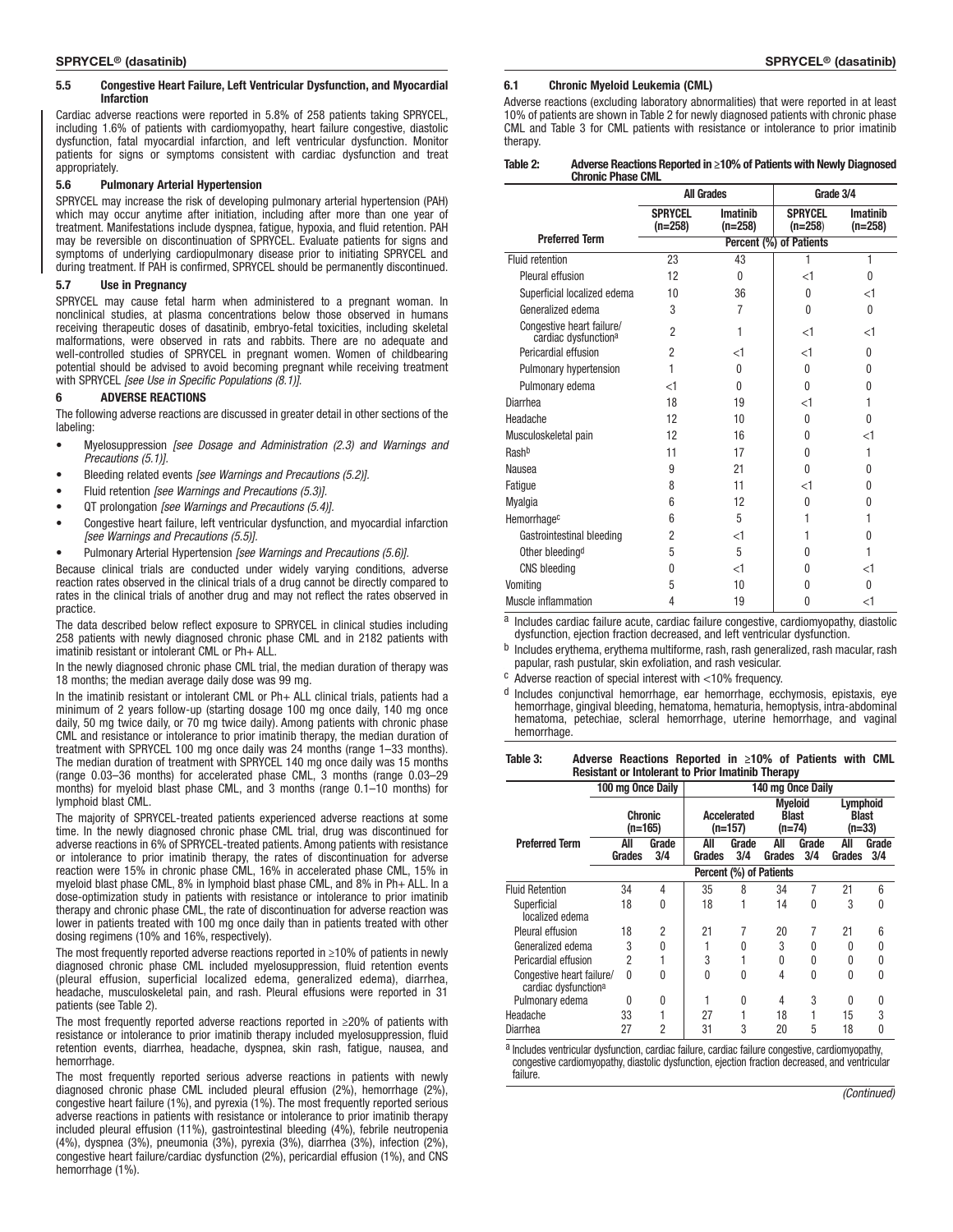#### **5.5 Congestive Heart Failure, Left Ventricular Dysfunction, and Myocardial Infarction**

Cardiac adverse reactions were reported in 5.8% of 258 patients taking SPRYCEL, including 1.6% of patients with cardiomyopathy, heart failure congestive, diastolic dysfunction, fatal myocardial infarction, and left ventricular dysfunction. Monitor patients for signs or symptoms consistent with cardiac dysfunction and treat appropriately.

## **5.6 Pulmonary Arterial Hypertension**

SPRYCEL may increase the risk of developing pulmonary arterial hypertension (PAH) which may occur anytime after initiation, including after more than one year of treatment. Manifestations include dyspnea, fatigue, hypoxia, and fluid retention. PAH may be reversible on discontinuation of SPRYCEL. Evaluate patients for signs and symptoms of underlying cardiopulmonary disease prior to initiating SPRYCEL and during treatment. If PAH is confirmed, SPRYCEL should be permanently discontinued.

## **5.7 Use in Pregnancy**

SPRYCEL may cause fetal harm when administered to a pregnant woman. In nonclinical studies, at plasma concentrations below those observed in humans receiving therapeutic doses of dasatinib, embryo-fetal toxicities, including skeletal malformations, were observed in rats and rabbits. There are no adequate and well-controlled studies of SPRYCEL in pregnant women. Women of childbearing potential should be advised to avoid becoming pregnant while receiving treatment with SPRYCEL [see Use in Specific Populations (8.1)].

## **6 ADVERSE REACTIONS**

The following adverse reactions are discussed in greater detail in other sections of the labeling:

- Myelosuppression [see Dosage and Administration (2.3) and Warnings and Precautions (5.1)].
- Bleeding related events [see Warnings and Precautions (5.2)].
- Fluid retention [see Warnings and Precautions (5.3)].
- QT prolongation [see Warnings and Precautions (5.4)].
- Congestive heart failure, left ventricular dysfunction, and myocardial infarction [see Warnings and Precautions (5.5)].
- Pulmonary Arterial Hypertension [see Warnings and Precautions (5.6)].

Because clinical trials are conducted under widely varying conditions, adverse reaction rates observed in the clinical trials of a drug cannot be directly compared to rates in the clinical trials of another drug and may not reflect the rates observed in practice.

The data described below reflect exposure to SPRYCEL in clinical studies including 258 patients with newly diagnosed chronic phase CML and in 2182 patients with imatinib resistant or intolerant CML or Ph+ ALL.

In the newly diagnosed chronic phase CML trial, the median duration of therapy was 18 months; the median average daily dose was 99 mg.

In the imatinib resistant or intolerant CML or Ph+ ALL clinical trials, patients had a minimum of 2 years follow-up (starting dosage 100 mg once daily, 140 mg once daily, 50 mg twice daily, or 70 mg twice daily). Among patients with chronic phase CML and resistance or intolerance to prior imatinib therapy, the median duration of treatment with SPRYCEL 100 mg once daily was 24 months (range 1–33 months). The median duration of treatment with SPRYCEL 140 mg once daily was 15 months (range 0.03–36 months) for accelerated phase CML, 3 months (range 0.03–29 months) for myeloid blast phase CML, and 3 months (range 0.1–10 months) for lymphoid blast CML.

The majority of SPRYCEL-treated patients experienced adverse reactions at some time. In the newly diagnosed chronic phase CML trial, drug was discontinued for adverse reactions in 6% of SPRYCEL-treated patients. Among patients with resistance or intolerance to prior imatinib therapy, the rates of discontinuation for adverse reaction were 15% in chronic phase CML, 16% in accelerated phase CML, 15% in myeloid blast phase CML, 8% in lymphoid blast phase CML, and 8% in Ph+ ALL. In a dose-optimization study in patients with resistance or intolerance to prior imatinib therapy and chronic phase CML, the rate of discontinuation for adverse reaction was lower in patients treated with 100 mg once daily than in patients treated with other dosing regimens (10% and 16%, respectively).

The most frequently reported adverse reactions reported in ≥10% of patients in newly diagnosed chronic phase CML included myelosuppression, fluid retention events (pleural effusion, superficial localized edema, generalized edema), diarrhea, headache, musculoskeletal pain, and rash. Pleural effusions were reported in 31 patients (see Table 2).

The most frequently reported adverse reactions reported in ≥20% of patients with resistance or intolerance to prior imatinib therapy included myelosuppression, fluid retention events, diarrhea, headache, dyspnea, skin rash, fatigue, nausea, and hemorrhage.

The most frequently reported serious adverse reactions in patients with newly diagnosed chronic phase CML included pleural effusion (2%), hemorrhage (2%), congestive heart failure (1%), and pyrexia (1%). The most frequently reported serious adverse reactions in patients with resistance or intolerance to prior imatinib therapy included pleural effusion (11%), gastrointestinal bleeding (4%), febrile neutropenia (4%), dyspnea (3%), pneumonia (3%), pyrexia (3%), diarrhea (3%), infection (2%), congestive heart failure/cardiac dysfunction (2%), pericardial effusion (1%), and CNS hemorrhage (1%).

## **6.1 Chronic Myeloid Leukemia (CML)**

Adverse reactions (excluding laboratory abnormalities) that were reported in at least 10% of patients are shown in Table 2 for newly diagnosed patients with chronic phase CML and Table 3 for CML patients with resistance or intolerance to prior imatinib therapy.

| Table 2: | Adverse Reactions Reported in ≥10% of Patients with Newly Diagnosed |
|----------|---------------------------------------------------------------------|
|          | <b>Chronic Phase CML</b>                                            |

|                                                               |                             | <b>All Grades</b>            | Grade 3/4                   |                              |  |
|---------------------------------------------------------------|-----------------------------|------------------------------|-----------------------------|------------------------------|--|
|                                                               | <b>SPRYCEL</b><br>$(n=258)$ | <b>Imatinib</b><br>$(n=258)$ | <b>SPRYCEL</b><br>$(n=258)$ | <b>Imatinib</b><br>$(n=258)$ |  |
| <b>Preferred Term</b>                                         |                             |                              | Percent (%) of Patients     |                              |  |
| Fluid retention                                               | 23                          | 43                           | 1                           | 1                            |  |
| Pleural effusion                                              | 12                          | $\Omega$                     | $\leq$ 1                    | $\Omega$                     |  |
| Superficial localized edema                                   | 10                          | 36                           | $\Omega$                    | ا>                           |  |
| Generalized edema                                             | 3                           | 7                            | 0                           | 0                            |  |
| Congestive heart failure/<br>cardiac dysfunction <sup>a</sup> | $\overline{2}$              | 1                            | $<$ 1                       | $<$ 1                        |  |
| Pericardial effusion                                          | 2                           | $\leq$ 1                     | $\leq$ 1                    | 0                            |  |
| Pulmonary hypertension                                        | 1                           | $\Omega$                     | $\Omega$                    | 0                            |  |
| Pulmonary edema                                               | $<$ 1                       | 0                            | $\Omega$                    | 0                            |  |
| Diarrhea                                                      | 18                          | 19                           | <1                          | 1                            |  |
| Headache                                                      | 12                          | 10                           | $\Omega$                    | U                            |  |
| Musculoskeletal pain                                          | 12                          | 16                           | U                           | $<$ 1                        |  |
| Rashb                                                         | 11                          | 17                           | U                           | 1                            |  |
| Nausea                                                        | 9                           | 21                           | U                           | 0                            |  |
| Fatique                                                       | 8                           | 11                           | <1                          | 0                            |  |
| Myalgia                                                       | 6                           | 12                           | 0                           | 0                            |  |
| Hemorrhagec                                                   | 6                           | 5                            |                             | 1                            |  |
| Gastrointestinal bleeding                                     | $\overline{2}$              | $\leq$ 1                     |                             | 0                            |  |
| Other bleeding <sup>d</sup>                                   | 5                           | 5                            | U                           | 1                            |  |
| <b>CNS</b> bleeding                                           | 0                           | $<$ 1                        | 0                           | <1                           |  |
| Vomiting                                                      | 5                           | 10                           | 0                           | 0                            |  |
| Muscle inflammation                                           | 4                           | 19                           | 0                           | $<$ 1                        |  |

a Includes cardiac failure acute, cardiac failure congestive, cardiomyopathy, diastolic dysfunction, ejection fraction decreased, and left ventricular dysfunction.

b Includes erythema, erythema multiforme, rash, rash generalized, rash macular, rash papular, rash pustular, skin exfoliation, and rash vesicular.

c Adverse reaction of special interest with <10% frequency.

d Includes conjunctival hemorrhage, ear hemorrhage, ecchymosis, epistaxis, eye hemorrhage, gingival bleeding, hematoma, hematuria, hemoptysis, intra-abdominal hematoma, petechiae, scleral hemorrhage, uterine hemorrhage, and vaginal hemorrhage.

| Table 3: | Adverse Reactions Reported in $\geq 10\%$ of Patients with CML |  |
|----------|----------------------------------------------------------------|--|
|          | <b>Resistant or Intolerant to Prior Imatinib Therapy</b>       |  |

|                                                               | 100 mg Once Daily         |              | 140 mg Once Daily      |              |                                            |              |                                      |              |
|---------------------------------------------------------------|---------------------------|--------------|------------------------|--------------|--------------------------------------------|--------------|--------------------------------------|--------------|
|                                                               | <b>Chronic</b><br>(n=165) |              | Accelerated<br>(n=157) |              | <b>Mveloid</b><br><b>Blast</b><br>$(n=74)$ |              | Lymphoid<br><b>Blast</b><br>$(n=33)$ |              |
| <b>Preferred Term</b>                                         | All<br>Grades             | Grade<br>3/4 | All<br>Grades          | Grade<br>3/4 | All<br>Grades                              | Grade<br>3/4 | All<br>Grades                        | Grade<br>3/4 |
|                                                               |                           |              |                        |              | Percent (%) of Patients                    |              |                                      |              |
| <b>Fluid Retention</b>                                        | 34                        | 4            | 35                     | 8            | 34                                         | 7            | 21                                   | 6            |
| Superficial<br>localized edema                                | 18                        | 0            | 18                     |              | 14                                         | $\Omega$     | 3                                    | 0            |
| Pleural effusion                                              | 18                        | 2            | 21                     | 7            | 20                                         | 7            | 21                                   | 6            |
| Generalized edema                                             | 3                         | 0            |                        | 0            | 3                                          | 0            | 0                                    | 0            |
| Pericardial effusion                                          | $\overline{2}$            |              | 3                      |              | 0                                          | $\Omega$     | 0                                    | 0            |
| Congestive heart failure/<br>cardiac dysfunction <sup>a</sup> | 0                         | U            | 0                      | 0            | 4                                          | $\Omega$     | 0                                    | 0            |
| Pulmonary edema                                               | 0                         | 0            |                        | 0            | 4                                          | 3            | 0                                    | 0            |
| Headache                                                      | 33                        |              | 27                     |              | 18                                         |              | 15                                   | 3            |
| Diarrhea                                                      | 27                        | 2            | 31                     | 3            | 20                                         | 5            | 18                                   | 0            |

a Includes ventricular dysfunction, cardiac failure, cardiac failure congestive, cardiomyopathy, congestive cardiomyopathy, diastolic dysfunction, ejection fraction decreased, and ventricular failure.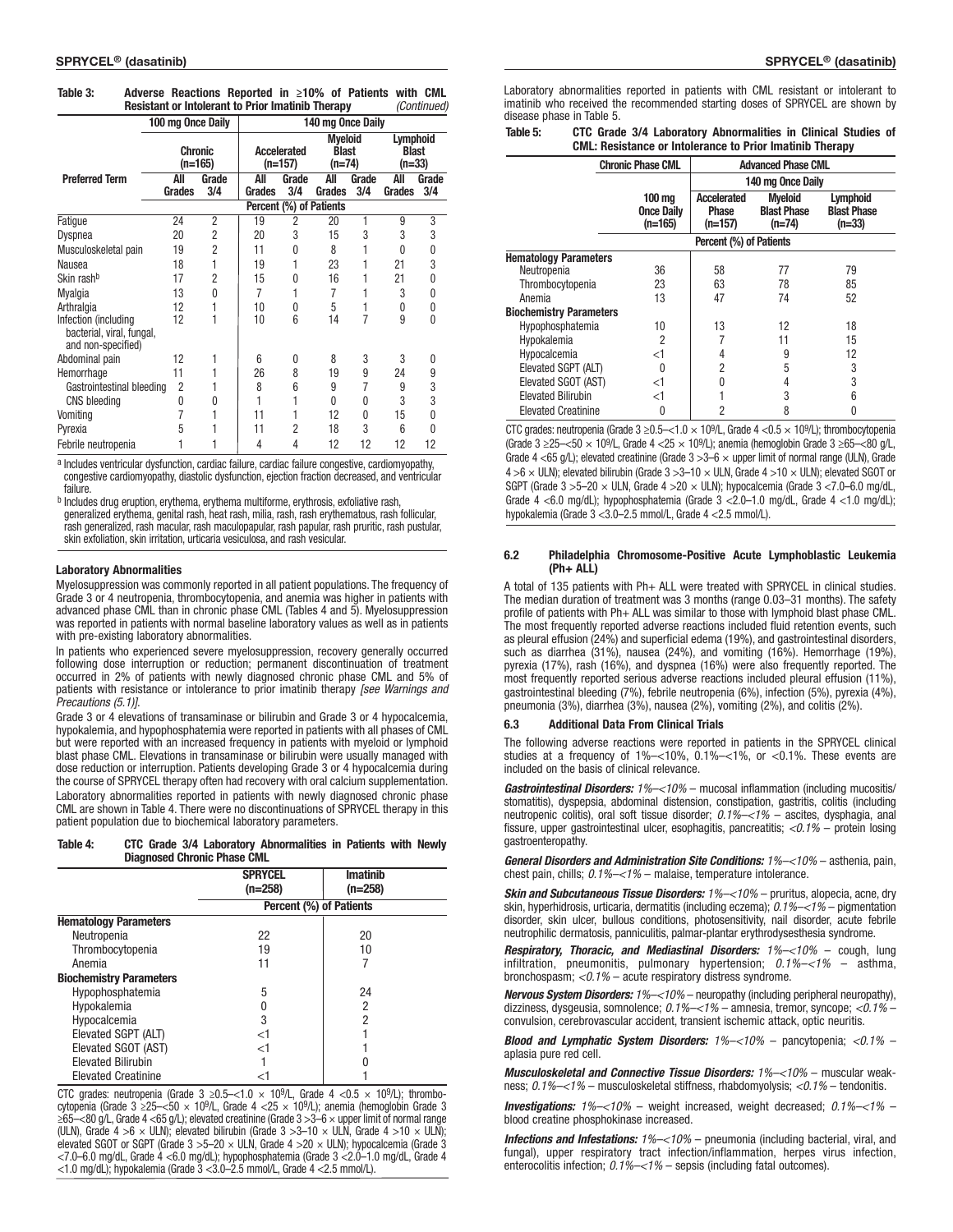| Table 3: | Adverse Reactions Reported in $\geq 10\%$ of Patients with CML |  |  |  |             |
|----------|----------------------------------------------------------------|--|--|--|-------------|
|          | <b>Resistant or Intolerant to Prior Imatinib Therapy</b>       |  |  |  | (Continued) |

|                                                                         | 100 mg Once Daily           |                | 140 mg Once Daily |                                 |                                          |              |                                      |              |
|-------------------------------------------------------------------------|-----------------------------|----------------|-------------------|---------------------------------|------------------------------------------|--------------|--------------------------------------|--------------|
|                                                                         | <b>Chronic</b><br>$(n=165)$ |                |                   | <b>Accelerated</b><br>$(n=157)$ | <b>Myeloid</b><br><b>Blast</b><br>(n=74) |              | Lymphoid<br><b>Blast</b><br>$(n=33)$ |              |
| <b>Preferred Term</b>                                                   | All<br>Grades               | Grade<br>3/4   | All<br>Grades     | Grade<br>3/4                    | All<br>Grades                            | Grade<br>3/4 | All<br>Grades                        | Grade<br>3/4 |
|                                                                         |                             |                |                   |                                 | Percent (%) of Patients                  |              |                                      |              |
| Fatigue                                                                 | $\overline{24}$             | $\overline{2}$ | 19                | $\overline{2}$                  | $\overline{20}$                          | 1            | 9                                    | 3            |
| Dyspnea                                                                 | 20                          | 2              | 20                | 3                               | 15                                       | 3            | 3                                    | 3            |
| Musculoskeletal pain                                                    | 19                          | $\overline{2}$ | 11                | $\mathbf{0}$                    | 8                                        |              | 0                                    | 0            |
| Nausea                                                                  | 18                          | 1              | 19                |                                 | 23                                       | 1            | 21                                   | 3            |
| Skin rash <sup>b</sup>                                                  | 17                          | $\overline{2}$ | 15                | $\Omega$                        | 16                                       |              | 21                                   | 0            |
| Myalgia                                                                 | 13                          | 0              | 7                 |                                 | 7                                        |              | 3                                    | 0            |
| Arthralgia                                                              | 12                          | 1              | 10                | 0                               | 5                                        |              | 0                                    | 0            |
| Infection (including<br>bacterial, viral, fungal,<br>and non-specified) | 12                          | 1              | 10                | 6                               | 14                                       | 7            | 9                                    | 0            |
| Abdominal pain                                                          | 12                          | 1              | 6                 | 0                               | 8                                        | 3            | 3                                    | 0            |
| Hemorrhage                                                              | 11                          | 1              | 26                | 8                               | 19                                       | 9            | 24                                   | 9            |
| Gastrointestinal bleeding                                               | 2                           |                | 8                 | 6                               | 9                                        | 7            | 9                                    | 3            |
| <b>CNS</b> bleeding                                                     | 0                           | 0              | 1                 |                                 | 0                                        | 0            | 3                                    | 3            |
| Vomiting                                                                | 7                           |                | 11                |                                 | 12                                       | 0            | 15                                   | 0            |
| Pyrexia                                                                 | 5                           |                | 11                | 2                               | 18                                       | 3            | 6                                    | U            |
| Febrile neutropenia                                                     |                             |                | 4                 | 4                               | 12                                       | 12           | 12                                   | 12           |

a Includes ventricular dysfunction, cardiac failure, cardiac failure congestive, cardiomyopathy, congestive cardiomyopathy, diastolic dysfunction, ejection fraction decreased, and ventricular failure.

<sup>b</sup> Includes drug eruption, erythema, erythema multiforme, erythrosis, exfoliative rash, generalized erythema, genital rash, heat rash, milia, rash, rash erythematous, rash follicular, rash generalized, rash macular, rash maculopapular, rash papular, rash pruritic, rash pustular, skin exfoliation, skin irritation, urticaria vesiculosa, and rash vesicular.

#### **Laboratory Abnormalities**

Myelosuppression was commonly reported in all patient populations. The frequency of Grade 3 or 4 neutropenia, thrombocytopenia, and anemia was higher in patients with advanced phase CML than in chronic phase CML (Tables 4 and 5). Myelosuppression was reported in patients with normal baseline laboratory values as well as in patients with pre-existing laboratory abnormalities.

In patients who experienced severe myelosuppression, recovery generally occurred following dose interruption or reduction; permanent discontinuation of treatment occurred in 2% of patients with newly diagnosed chronic phase CML and 5% of patients with resistance or intolerance to prior imatinib therapy [see Warnings and Precautions (5.1)].

Grade 3 or 4 elevations of transaminase or bilirubin and Grade 3 or 4 hypocalcemia, hypokalemia, and hypophosphatemia were reported in patients with all phases of CML but were reported with an increased frequency in patients with myeloid or lymphoid blast phase CML. Elevations in transaminase or bilirubin were usually managed with dose reduction or interruption. Patients developing Grade 3 or 4 hypocalcemia during the course of SPRYCEL therapy often had recovery with oral calcium supplementation. Laboratory abnormalities reported in patients with newly diagnosed chronic phase CML are shown in Table 4. There were no discontinuations of SPRYCEL therapy in this patient population due to biochemical laboratory parameters.

#### **Table 4: CTC Grade 3/4 Laboratory Abnormalities in Patients with Newly Diagnosed Chronic Phase CML**

|                                | <b>SPRYCEL</b><br>$(n=258)$ | <b>Imatinib</b><br>$(n=258)$ |  |
|--------------------------------|-----------------------------|------------------------------|--|
|                                | Percent (%) of Patients     |                              |  |
| <b>Hematology Parameters</b>   |                             |                              |  |
| Neutropenia                    | 22                          | 20                           |  |
| Thrombocytopenia               | 19                          | 10                           |  |
| Anemia                         | 11                          |                              |  |
| <b>Biochemistry Parameters</b> |                             |                              |  |
| Hypophosphatemia               | 5                           | 24                           |  |
| Hypokalemia                    |                             | 2                            |  |
| Hypocalcemia                   | 3                           | 2                            |  |
| Elevated SGPT (ALT)            | ا>                          |                              |  |
| Elevated SGOT (AST)            | ا >                         |                              |  |
| <b>Elevated Bilirubin</b>      |                             |                              |  |
| <b>Elevated Creatinine</b>     |                             |                              |  |

CTC grades: neutropenia (Grade  $3 \ge 0.5 - <1.0 \times 10^9$ /L, Grade  $4 < 0.5 \times 10^9$ /L); thrombocytopenia (Grade 3 ≥25–<50  $\times$  10<sup>9</sup>/L, Grade 4 <25  $\times$  10<sup>9</sup>/L); anemia (hemoglobin Grade 3 ≥65–<80 g/L, Grade 4 <65 g/L); elevated creatinine (Grade 3 >3–6 × upper limit of normal range (ULN), Grade 4 >6  $\times$  ULN); elevated bilirubin (Grade 3 >3–10  $\times$  ULN, Grade 4 >10  $\times$  ULN); elevated SGOT or SGPT (Grade  $3 >5-20 \times$  ULN, Grade 4  $>20 \times$  ULN); hypocalcemia (Grade 3  $<$ 7.0–6.0 mg/dL, Grade  $4 <$ 6.0 mg/dL); hypophosphatemia (Grade  $3 <$ 2.0–1.0 mg/dL, Grade  $4$  $<$ 1.0 mg/dL); hypokalemia (Grade  $3 < 3.0-2.5$  mmol/L, Grade 4  $<$ 2.5 mmol/L).

Laboratory abnormalities reported in patients with CML resistant or intolerant to imatinib who received the recommended starting doses of SPRYCEL are shown by disease phase in Table 5.

| Table 5: | CTC Grade 3/4 Laboratory Abnormalities in Clinical Studies of   |
|----------|-----------------------------------------------------------------|
|          | <b>CML: Resistance or Intolerance to Prior Imatinib Therapy</b> |

|                                | <b>Chronic Phase CML</b>                 | <b>Advanced Phase CML</b>       |                                                  |                                            |  |  |
|--------------------------------|------------------------------------------|---------------------------------|--------------------------------------------------|--------------------------------------------|--|--|
|                                |                                          | 140 mg Once Daily               |                                                  |                                            |  |  |
|                                | 100 mg<br><b>Once Daily</b><br>$(n=165)$ | Accelerated<br>Phase<br>(n=157) | <b>Mveloid</b><br><b>Blast Phase</b><br>$(n=74)$ | Lymphoid<br><b>Blast Phase</b><br>$(n=33)$ |  |  |
|                                |                                          | Percent (%) of Patients         |                                                  |                                            |  |  |
| <b>Hematology Parameters</b>   |                                          |                                 |                                                  |                                            |  |  |
| Neutropenia                    | 36                                       | 58                              | 77                                               | 79                                         |  |  |
| Thrombocytopenia               | 23                                       | 63                              | 78                                               | 85                                         |  |  |
| Anemia                         | 13                                       | 47                              | 74                                               | 52                                         |  |  |
| <b>Biochemistry Parameters</b> |                                          |                                 |                                                  |                                            |  |  |
| Hypophosphatemia               | 10                                       | 13                              | 12                                               | 18                                         |  |  |
| Hypokalemia                    | 2                                        |                                 | 11                                               | 15                                         |  |  |
| Hypocalcemia                   | <1                                       | 4                               | 9                                                | 12                                         |  |  |
| Elevated SGPT (ALT)            | 0                                        | $\overline{2}$                  | 5                                                | 3                                          |  |  |
| Elevated SGOT (AST)            | ا>                                       |                                 | 4                                                | 3                                          |  |  |
| <b>Elevated Bilirubin</b>      | <1                                       |                                 | 3                                                | 6                                          |  |  |
| <b>Elevated Creatinine</b>     | 0                                        | 2                               | 8                                                | 0                                          |  |  |

CTC grades: neutropenia (Grade  $3 \ge 0.5 - <1.0 \times 10^9$ /L, Grade  $4 < 0.5 \times 10^9$ /L); thrombocytopenia (Grade 3 ≥25–<50  $\times$  10<sup>9</sup>/L, Grade 4 <25  $\times$  10<sup>9</sup>/L); anemia (hemoglobin Grade 3 ≥65–<80 g/L, Grade 4 <65 g/L); elevated creatinine (Grade  $3 >3-6 \times$  upper limit of normal range (ULN), Grade  $4 > 6 \times$  ULN); elevated bilirubin (Grade  $3 > 3 - 10 \times$  ULN, Grade  $4 > 10 \times$  ULN); elevated SGOT or SGPT (Grade  $3 >5-20 \times$  ULN, Grade  $4 >20 \times$  ULN); hypocalcemia (Grade  $3 < 7.0-6.0$  mg/dL, Grade  $4 < 6.0$  mg/dL); hypophosphatemia (Grade  $3 < 2.0 - 1.0$  mg/dL, Grade  $4 < 1.0$  mg/dL); hypokalemia (Grade 3 <3.0–2.5 mmol/L, Grade 4 <2.5 mmol/L).

## **6.2 Philadelphia Chromosome-Positive Acute Lymphoblastic Leukemia (Ph+ ALL)**

A total of 135 patients with Ph+ ALL were treated with SPRYCEL in clinical studies. The median duration of treatment was 3 months (range 0.03–31 months). The safety profile of patients with Ph+ ALL was similar to those with lymphoid blast phase CML. The most frequently reported adverse reactions included fluid retention events, such as pleural effusion (24%) and superficial edema (19%), and gastrointestinal disorders, such as diarrhea (31%), nausea (24%), and vomiting (16%). Hemorrhage (19%), pyrexia (17%), rash (16%), and dyspnea (16%) were also frequently reported. The most frequently reported serious adverse reactions included pleural effusion (11%), gastrointestinal bleeding (7%), febrile neutropenia (6%), infection (5%), pyrexia (4%), pneumonia (3%), diarrhea (3%), nausea (2%), vomiting (2%), and colitis (2%).

## **6.3 Additional Data From Clinical Trials**

The following adverse reactions were reported in patients in the SPRYCEL clinical studies at a frequency of 1%–<10%, 0.1%–<1%, or <0.1%. These events are included on the basis of clinical relevance.

**Gastrointestinal Disorders:** 1%–<10% – mucosal inflammation (including mucositis/ stomatitis), dyspepsia, abdominal distension, constipation, gastritis, colitis (including neutropenic colitis), oral soft tissue disorder; 0.1%–<1% – ascites, dysphagia, anal fissure, upper gastrointestinal ulcer, esophagitis, pancreatitis;  $<$  0.1% – protein losing gastroenteropathy.

**General Disorders and Administration Site Conditions:** 1%–<10% – asthenia, pain, chest pain, chills;  $0.1\% - <1\%$  – malaise, temperature intolerance.

**Skin and Subcutaneous Tissue Disorders:** 1%-<10% – pruritus, alopecia, acne, dry skin, hyperhidrosis, urticaria, dermatitis (including eczema); 0.1%–<1% – pigmentation disorder, skin ulcer, bullous conditions, photosensitivity, nail disorder, acute febrile neutrophilic dermatosis, panniculitis, palmar-plantar erythrodysesthesia syndrome.

**Respiratory, Thoracic, and Mediastinal Disorders:** 1%–<10% – cough, lung infiltration, pneumonitis, pulmonary hypertension;  $0.1\% - 1\%$  – asthma, bronchospasm;  $<$  0.1% – acute respiratory distress syndrome.

**Nervous System Disorders:** 1%–<10% – neuropathy (including peripheral neuropathy), dizziness, dysgeusia, somnolence; 0.1%–<1% – amnesia, tremor, syncope; <0.1% – convulsion, cerebrovascular accident, transient ischemic attack, optic neuritis.

**Blood and Lymphatic System Disorders:** 1%–<10% – pancytopenia; <0.1% – aplasia pure red cell.

**Musculoskeletal and Connective Tissue Disorders:** 1%–<10% – muscular weakness; 0.1%–<1% – musculoskeletal stiffness, rhabdomyolysis; <0.1% – tendonitis.

**Investigations:** 1%–<10% – weight increased, weight decreased; 0.1%–<1% – blood creatine phosphokinase increased.

**Infections and Infestations:** 1%–<10% – pneumonia (including bacterial, viral, and fungal), upper respiratory tract infection/inflammation, herpes virus infection, enterocolitis infection; 0.1%–<1% – sepsis (including fatal outcomes).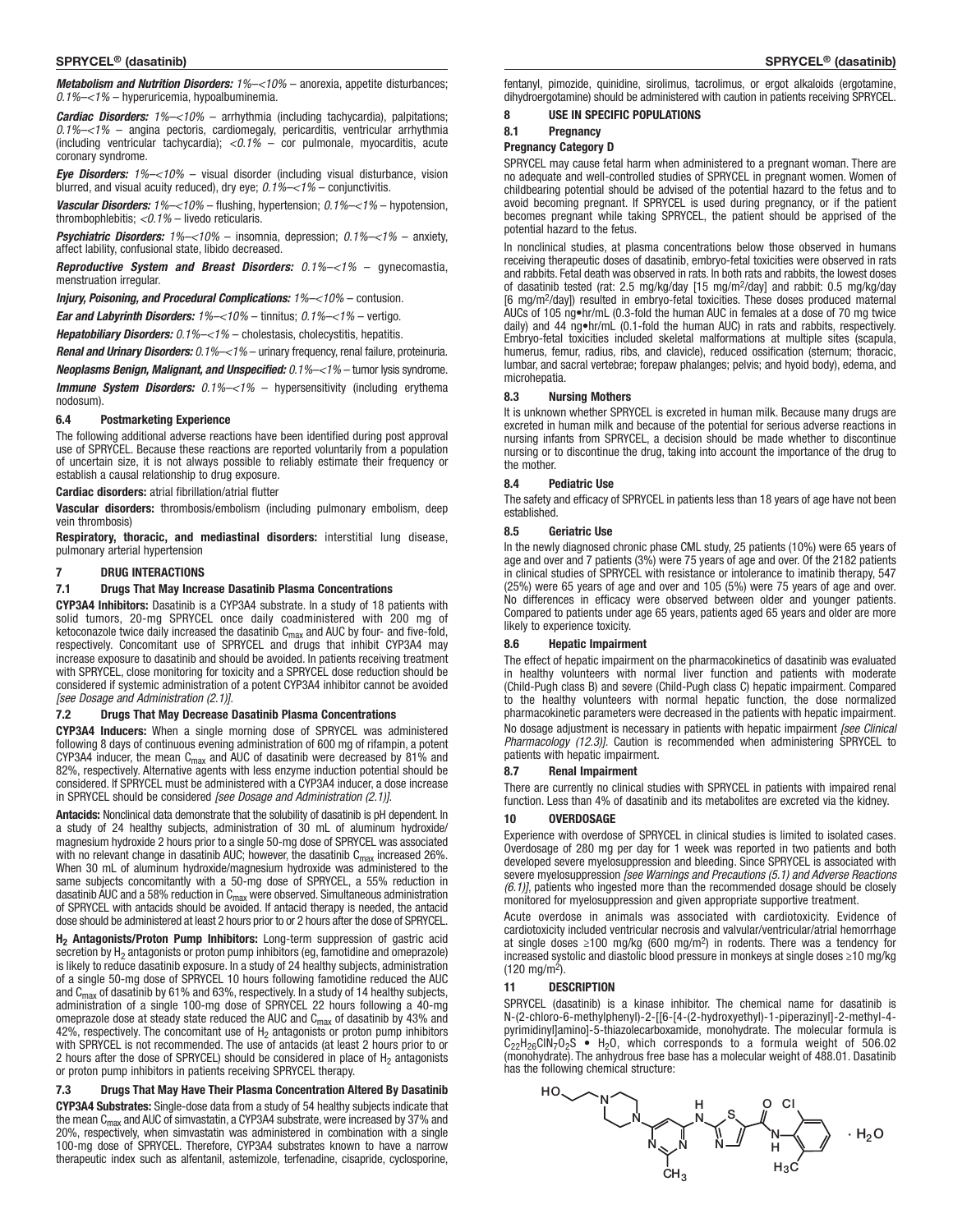**Metabolism and Nutrition Disorders:** 1%–<10% – anorexia, appetite disturbances;  $0.1\% - 1\%$  – hyperuricemia, hypoalbuminemia.

**Cardiac Disorders:** 1%–<10% – arrhythmia (including tachycardia), palpitations;  $0.1\% - 1\%$  – angina pectoris, cardiomegaly, pericarditis, ventricular arrhythmia (including ventricular tachycardia);  $<0.1\%$  – cor pulmonale, myocarditis, acute coronary syndrome.

**Eye Disorders:** 1%–<10% – visual disorder (including visual disturbance, vision blurred, and visual acuity reduced), dry eye;  $0.1\% - 1\%$  – conjunctivitis.

**Vascular Disorders:** 1%–<10% – flushing, hypertension; 0.1%–<1% – hypotension, thrombophlebitis;  $<$ 0.1% – livedo reticularis.

**Psychiatric Disorders:** 1%–<10% – insomnia, depression; 0.1%–<1% – anxiety, affect lability, confusional state, libido decreased.

**Reproductive System and Breast Disorders:** 0.1%–<1% – gynecomastia, menstruation irregular.

**Injury, Poisoning, and Procedural Complications:** 1%–<10% – contusion.

**Ear and Labyrinth Disorders:** 1%–<10% – tinnitus; 0.1%–<1% – vertigo.

**Hepatobiliary Disorders:** 0.1%–<1% – cholestasis, cholecystitis, hepatitis.

**Renal and Urinary Disorders:** 0.1%–<1% – urinary frequency, renal failure, proteinuria.

**Neoplasms Benign, Malignant, and Unspecified:** 0.1%–<1% – tumor lysis syndrome. **Immune System Disorders:** 0.1%-<1% - hypersensitivity (including erythema

# **6.4 Postmarketing Experience**

nodosum).

The following additional adverse reactions have been identified during post approval use of SPRYCEL. Because these reactions are reported voluntarily from a population of uncertain size, it is not always possible to reliably estimate their frequency or establish a causal relationship to drug exposure.

**Cardiac disorders:** atrial fibrillation/atrial flutter

**Vascular disorders:** thrombosis/embolism (including pulmonary embolism, deep vein thrombosis)

**Respiratory, thoracic, and mediastinal disorders:** interstitial lung disease, pulmonary arterial hypertension

## **7 DRUG INTERACTIONS**

## **7.1 Drugs That May Increase Dasatinib Plasma Concentrations**

**CYP3A4 Inhibitors:** Dasatinib is a CYP3A4 substrate. In a study of 18 patients with solid tumors, 20-mg SPRYCEL once daily coadministered with 200 mg of ketoconazole twice daily increased the dasatinib C<sub>max</sub> and AUC by four- and five-fold,<br>respectively. Concomitant use of SPRYCEL and drugs that inhibit CYP3A4 may increase exposure to dasatinib and should be avoided. In patients receiving treatment with SPRYCEL, close monitoring for toxicity and a SPRYCEL dose reduction should be considered if systemic administration of a potent CYP3A4 inhibitor cannot be avoided [see Dosage and Administration (2.1)].

#### **7.2 Drugs That May Decrease Dasatinib Plasma Concentrations**

**CYP3A4 Inducers:** When a single morning dose of SPRYCEL was administered following 8 days of continuous evening administration of 600 mg of rifampin, a potent CYP3A4 inducer, the mean  $C_{\text{max}}$  and AUC of dasatinib were decreased by 81% and 82%, respectively. Alternative agents with less enzyme induction potential should be considered. If SPRYCEL must be administered with a CYP3A4 inducer, a dose increase in SPRYCEL should be considered [see Dosage and Administration (2.1)].

**Antacids:** Nonclinical data demonstrate that the solubility of dasatinib is pH dependent. In a study of 24 healthy subjects, administration of 30 mL of aluminum hydroxide/ magnesium hydroxide 2 hours prior to a single 50-mg dose of SPRYCEL was associated with no relevant change in dasatinib AUC; however, the dasatinib  $C_{\text{max}}$  increased 26%. When 30 mL of aluminum hydroxide/magnesium hydroxide was administered to the same subjects concomitantly with a 50-mg dose of SPRYCEL, a 55% reduction in dasatinib AUC and a 58% reduction in  $C_{\text{max}}$  were observed. Simultaneous administration of SPRYCEL with antacids should be avoided. If antacid therapy is needed, the antacid dose should be administered at least 2 hours prior to or 2 hours after the dose of SPRYCEL.

**H2 Antagonists/Proton Pump Inhibitors:** Long-term suppression of gastric acid secretion by  $H<sub>2</sub>$  antagonists or proton pump inhibitors (eg, famotidine and omeprazole) is likely to reduce dasatinib exposure. In a study of 24 healthy subjects, administration of a single 50-mg dose of SPRYCEL 10 hours following famotidine reduced the AUC and  $C_{\text{max}}$  of dasatinib by 61% and 63%, respectively. In a study of 14 healthy subjects, administration of a single 100-mg dose of SPRYCEL 22 hours following a 40-mg omeprazole dose at steady state reduced the AUC and  $C_{max}$  of dasatinib by 43% and 42%, respectively. The concomitant use of  $H_2$  antagonists or proton pump inhibitors with SPRYCEL is not recommended. The use of antacids (at least 2 hours prior to or 2 hours after the dose of SPRYCEL) should be considered in place of  $H_2$  antagonists or proton pump inhibitors in patients receiving SPRYCEL therapy.

## **7.3 Drugs That May Have Their Plasma Concentration Altered By Dasatinib**

**CYP3A4 Substrates:** Single-dose data from a study of 54 healthy subjects indicate that the mean  $C_{\text{max}}$  and AUC of simvastatin, a CYP3A4 substrate, were increased by 37% and 20%, respectively, when simvastatin was administered in combination with a single 100-mg dose of SPRYCEL. Therefore, CYP3A4 substrates known to have a narrow therapeutic index such as alfentanil, astemizole, terfenadine, cisapride, cyclosporine, fentanyl, pimozide, quinidine, sirolimus, tacrolimus, or ergot alkaloids (ergotamine, dihydroergotamine) should be administered with caution in patients receiving SPRYCEL.

# **8 USE IN SPECIFIC POPULATIONS**

# **8.1 Pregnancy**

## **Pregnancy Category D**

SPRYCEL may cause fetal harm when administered to a pregnant woman. There are no adequate and well-controlled studies of SPRYCEL in pregnant women. Women of childbearing potential should be advised of the potential hazard to the fetus and to avoid becoming pregnant. If SPRYCEL is used during pregnancy, or if the patient becomes pregnant while taking SPRYCEL, the patient should be apprised of the potential hazard to the fetus.

In nonclinical studies, at plasma concentrations below those observed in humans receiving therapeutic doses of dasatinib, embryo-fetal toxicities were observed in rats and rabbits. Fetal death was observed in rats. In both rats and rabbits, the lowest doses of dasatinib tested (rat: 2.5 mg/kg/day [15 mg/m2/day] and rabbit: 0.5 mg/kg/day [6 mg/m2/day]) resulted in embryo-fetal toxicities. These doses produced maternal AUCs of 105 ng•hr/mL (0.3-fold the human AUC in females at a dose of 70 mg twice daily) and 44 ng•hr/mL (0.1-fold the human AUC) in rats and rabbits, respectively. Embryo-fetal toxicities included skeletal malformations at multiple sites (scapula, humerus, femur, radius, ribs, and clavicle), reduced ossification (sternum; thoracic, lumbar, and sacral vertebrae; forepaw phalanges; pelvis; and hyoid body), edema, and microhepatia.

## **8.3 Nursing Mothers**

It is unknown whether SPRYCEL is excreted in human milk. Because many drugs are excreted in human milk and because of the potential for serious adverse reactions in nursing infants from SPRYCEL, a decision should be made whether to discontinue nursing or to discontinue the drug, taking into account the importance of the drug to the mother.

#### **8.4 Pediatric Use**

The safety and efficacy of SPRYCEL in patients less than 18 years of age have not been established.

#### **8.5 Geriatric Use**

In the newly diagnosed chronic phase CML study, 25 patients (10%) were 65 years of age and over and 7 patients (3%) were 75 years of age and over. Of the 2182 patients in clinical studies of SPRYCEL with resistance or intolerance to imatinib therapy, 547 (25%) were 65 years of age and over and 105 (5%) were 75 years of age and over. No differences in efficacy were observed between older and younger patients. Compared to patients under age 65 years, patients aged 65 years and older are more likely to experience toxicity.

#### **8.6 Hepatic Impairment**

The effect of hepatic impairment on the pharmacokinetics of dasatinib was evaluated in healthy volunteers with normal liver function and patients with moderate (Child-Pugh class B) and severe (Child-Pugh class C) hepatic impairment. Compared to the healthy volunteers with normal hepatic function, the dose normalized pharmacokinetic parameters were decreased in the patients with hepatic impairment. No dosage adjustment is necessary in patients with hepatic impairment [see Clinical Pharmacology (12.3)]. Caution is recommended when administering SPRYCEL to patients with hepatic impairment.

#### **8.7 Renal Impairment**

There are currently no clinical studies with SPRYCEL in patients with impaired renal function. Less than 4% of dasatinib and its metabolites are excreted via the kidney.

#### **10 OVERDOSAGE**

Experience with overdose of SPRYCEL in clinical studies is limited to isolated cases. Overdosage of 280 mg per day for 1 week was reported in two patients and both developed severe myelosuppression and bleeding. Since SPRYCEL is associated with severe myelosuppression [see Warnings and Precautions (5.1) and Adverse Reactions  $(6.1)$ ], patients who ingested more than the recommended dosage should be closely monitored for myelosuppression and given appropriate supportive treatment.

Acute overdose in animals was associated with cardiotoxicity. Evidence of cardiotoxicity included ventricular necrosis and valvular/ventricular/atrial hemorrhage at single doses ≥100 mg/kg (600 mg/m2) in rodents. There was a tendency for increased systolic and diastolic blood pressure in monkeys at single doses ≥10 mg/kg (120 mg/m2).

#### **11 DESCRIPTION**

SPRYCEL (dasatinib) is a kinase inhibitor. The chemical name for dasatinib is N-(2-chloro-6-methylphenyl)-2-[[6-[4-(2-hydroxyethyl)-1-piperazinyl]-2-methyl-4 pyrimidinyl]amino]-5-thiazolecarboxamide, monohydrate. The molecular formula is  $C_{22}H_{26}CH_{7}O_{2}S \bullet H_{2}O$ , which corresponds to a formula weight of 506.02 (monohydrate). The anhydrous free base has a molecular weight of 488.01. Dasatinib has the following chemical structure:

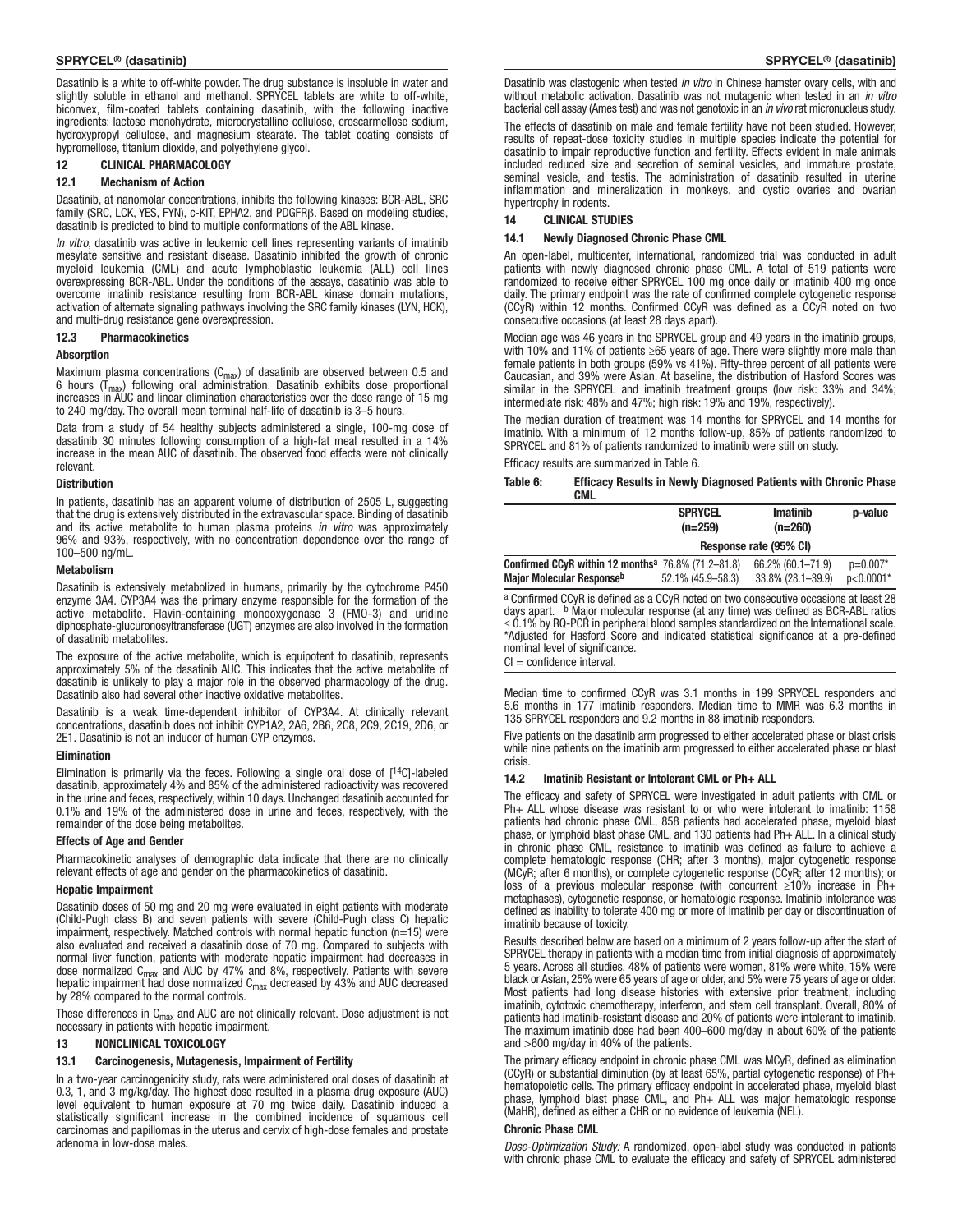#### **SPRYCEL® (dasatinib) SPRYCEL® (dasatinib)**

Dasatinib is a white to off-white powder. The drug substance is insoluble in water and slightly soluble in ethanol and methanol. SPRYCEL tablets are white to off-white, biconvex, film-coated tablets containing dasatinib, with the following inactive ingredients: lactose monohydrate, microcrystalline cellulose, croscarmellose sodium, hydroxypropyl cellulose, and magnesium stearate. The tablet coating consists of hypromellose, titanium dioxide, and polyethylene glycol.

#### **12 CLINICAL PHARMACOLOGY**

## **12.1 Mechanism of Action**

Dasatinib, at nanomolar concentrations, inhibits the following kinases: BCR-ABL, SRC family (SRC, LCK, YES, FYN), c-KIT, EPHA2, and PDGFRß. Based on modeling studies, dasatinib is predicted to bind to multiple conformations of the ABL kinase.

In vitro, dasatinib was active in leukemic cell lines representing variants of imatinib mesylate sensitive and resistant disease. Dasatinib inhibited the growth of chronic myeloid leukemia (CML) and acute lymphoblastic leukemia (ALL) cell lines overexpressing BCR-ABL. Under the conditions of the assays, dasatinib was able to overcome imatinib resistance resulting from BCR-ABL kinase domain mutations, activation of alternate signaling pathways involving the SRC family kinases (LYN, HCK), and multi-drug resistance gene overexpression.

## **12.3 Pharmacokinetics**

#### **Absorption**

Maximum plasma concentrations  $(C_{\text{max}})$  of dasatinib are observed between 0.5 and 6 hours  $(\dot{T}_{max})$  following oral administration. Dasatinib exhibits dose proportional increases in AUC and linear elimination characteristics over the dose range of 15 mg to 240 mg/day. The overall mean terminal half-life of dasatinib is 3–5 hours.

Data from a study of 54 healthy subjects administered a single, 100-mg dose of dasatinib 30 minutes following consumption of a high-fat meal resulted in a 14% increase in the mean AUC of dasatinib. The observed food effects were not clinically relevant.

#### **Distribution**

In patients, dasatinib has an apparent volume of distribution of 2505 L, suggesting that the drug is extensively distributed in the extravascular space. Binding of dasatinib and its active metabolite to human plasma proteins in vitro was approximately 96% and 93%, respectively, with no concentration dependence over the range of 100–500 ng/mL.

#### **Metabolism**

Dasatinib is extensively metabolized in humans, primarily by the cytochrome P450 enzyme 3A4. CYP3A4 was the primary enzyme responsible for the formation of the active metabolite. Flavin-containing monooxygenase 3 (FMO-3) and uridine diphosphate-glucuronosyltransferase (UGT) enzymes are also involved in the formation of dasatinib metabolites.

The exposure of the active metabolite, which is equipotent to dasatinib, represents approximately 5% of the dasatinib AUC. This indicates that the active metabolite of dasatinib is unlikely to play a major role in the observed pharmacology of the drug. Dasatinib also had several other inactive oxidative metabolites.

Dasatinib is a weak time-dependent inhibitor of CYP3A4. At clinically relevant concentrations, dasatinib does not inhibit CYP1A2, 2A6, 2B6, 2C8, 2C9, 2C19, 2D6, or 2E1. Dasatinib is not an inducer of human CYP enzymes.

#### **Elimination**

Elimination is primarily via the feces. Following a single oral dose of  $[14C]$ -labeled dasatinib, approximately 4% and 85% of the administered radioactivity was recovered in the urine and feces, respectively, within 10 days. Unchanged dasatinib accounted for 0.1% and 19% of the administered dose in urine and feces, respectively, with the remainder of the dose being metabolites.

#### **Effects of Age and Gender**

Pharmacokinetic analyses of demographic data indicate that there are no clinically relevant effects of age and gender on the pharmacokinetics of dasatinib.

#### **Hepatic Impairment**

Dasatinib doses of 50 mg and 20 mg were evaluated in eight patients with moderate (Child-Pugh class B) and seven patients with severe (Child-Pugh class C) hepatic impairment, respectively. Matched controls with normal hepatic function (n=15) were also evaluated and received a dasatinib dose of 70 mg. Compared to subjects with normal liver function, patients with moderate hepatic impairment had decreases in dose normalized  $C_{\text{max}}$  and AUC by 47% and 8%, respectively. Patients with severe hepatic impairment had dose normalized  $C_{\text{max}}$  decreased by 43% and AUC decreased by 28% compared to the normal controls.

These differences in C<sub>max</sub> and AUC are not clinically relevant. Dose adjustment is not<br>necessary in patients with hepatic impairment.

#### **13 NONCLINICAL TOXICOLOGY**

## **13.1 Carcinogenesis, Mutagenesis, Impairment of Fertility**

In a two-year carcinogenicity study, rats were administered oral doses of dasatinib at 0.3, 1, and 3 mg/kg/day. The highest dose resulted in a plasma drug exposure (AUC) level equivalent to human exposure at 70 mg twice daily. Dasatinib induced a statistically significant increase in the combined incidence of squamous cell carcinomas and papillomas in the uterus and cervix of high-dose females and prostate adenoma in low-dose males.

Dasatinib was clastogenic when tested *in vitro* in Chinese hamster ovary cells, with and without metabolic activation. Dasatinib was not mutagenic when tested in an in vitro bacterial cell assay (Ames test) and was not genotoxic in an in vivo rat micronucleus study.

The effects of dasatinib on male and female fertility have not been studied. However, results of repeat-dose toxicity studies in multiple species indicate the potential for dasatinib to impair reproductive function and fertility. Effects evident in male animals included reduced size and secretion of seminal vesicles, and immature prostate, seminal vesicle, and testis. The administration of dasatinib resulted in uterine inflammation and mineralization in monkeys, and cystic ovaries and ovarian hypertrophy in rodents.

#### **14 CLINICAL STUDIES**

#### **14.1 Newly Diagnosed Chronic Phase CML**

An open-label, multicenter, international, randomized trial was conducted in adult patients with newly diagnosed chronic phase CML. A total of 519 patients were randomized to receive either SPRYCEL 100 mg once daily or imatinib 400 mg once daily. The primary endpoint was the rate of confirmed complete cytogenetic response (CCyR) within 12 months. Confirmed CCyR was defined as a CCyR noted on two consecutive occasions (at least 28 days apart).

Median age was 46 years in the SPRYCEL group and 49 years in the imatinib groups, with 10% and 11% of patients ≥65 years of age. There were slightly more male than female patients in both groups (59% vs 41%). Fifty-three percent of all patients were Caucasian, and 39% were Asian. At baseline, the distribution of Hasford Scores was similar in the SPRYCEL and imatinib treatment groups (low risk: 33% and 34%; intermediate risk: 48% and 47%; high risk: 19% and 19%, respectively).

The median duration of treatment was 14 months for SPRYCEL and 14 months for imatinib. With a minimum of 12 months follow-up, 85% of patients randomized to SPRYCEL and 81% of patients randomized to imatinib were still on study.

## Efficacy results are summarized in Table 6.

#### **Table 6: Efficacy Results in Newly Diagnosed Patients with Chronic Phase CML**

| -----                                                          |                        |                   |             |
|----------------------------------------------------------------|------------------------|-------------------|-------------|
|                                                                | <b>SPRYCEL</b>         | <b>Imatinib</b>   | p-value     |
|                                                                | $(n=259)$              | $(n=260)$         |             |
|                                                                | Response rate (95% CI) |                   |             |
| Confirmed CCyR within 12 months <sup>a</sup> 76.8% (71.2-81.8) |                        | 66.2% (60.1-71.9) | $p=0.007*$  |
| Maior Molecular Responseb                                      | 52.1% (45.9–58.3)      | 33.8% (28.1-39.9) | $p<0.0001*$ |

a Confirmed CCyR is defined as a CCyR noted on two consecutive occasions at least 28 days apart. b Major molecular response (at any time) was defined as BCR-ABL ratios ≤ 0.1% by RQ-PCR in peripheral blood samples standardized on the International scale. \*Adjusted for Hasford Score and indicated statistical significance at a pre-defined nominal level of significance.

 $Cl =$  confidence interval.

Median time to confirmed CCyR was 3.1 months in 199 SPRYCEL responders and 5.6 months in 177 imatinib responders. Median time to MMR was 6.3 months in 135 SPRYCEL responders and 9.2 months in 88 imatinib responders.

Five patients on the dasatinib arm progressed to either accelerated phase or blast crisis while nine patients on the imatinib arm progressed to either accelerated phase or blast crisis.

#### **14.2 Imatinib Resistant or Intolerant CML or Ph+ ALL**

The efficacy and safety of SPRYCEL were investigated in adult patients with CML or Ph+ ALL whose disease was resistant to or who were intolerant to imatinib: 1158 patients had chronic phase CML, 858 patients had accelerated phase, myeloid blast phase, or lymphoid blast phase CML, and 130 patients had Ph+ ALL. In a clinical study in chronic phase CML, resistance to imatinib was defined as failure to achieve a complete hematologic response (CHR; after 3 months), major cytogenetic response (MCyR; after 6 months), or complete cytogenetic response (CCyR; after 12 months); or loss of a previous molecular response (with concurrent ≥10% increase in Ph+ metaphases), cytogenetic response, or hematologic response. Imatinib intolerance was defined as inability to tolerate 400 mg or more of imatinib per day or discontinuation of imatinib because of toxicity.

Results described below are based on a minimum of 2 years follow-up after the start of SPRYCEL therapy in patients with a median time from initial diagnosis of approximately 5 years. Across all studies, 48% of patients were women, 81% were white, 15% were black or Asian, 25% were 65 years of age or older, and 5% were 75 years of age or older. Most patients had long disease histories with extensive prior treatment, including imatinib, cytotoxic chemotherapy, interferon, and stem cell transplant. Overall, 80% of patients had imatinib-resistant disease and 20% of patients were intolerant to imatinib. The maximum imatinib dose had been 400–600 mg/day in about 60% of the patients and >600 mg/day in 40% of the patients.

The primary efficacy endpoint in chronic phase CML was MCyR, defined as elimination (CCyR) or substantial diminution (by at least 65%, partial cytogenetic response) of Ph+ hematopoietic cells. The primary efficacy endpoint in accelerated phase, myeloid blast phase, lymphoid blast phase CML, and Ph+ ALL was major hematologic response (MaHR), defined as either a CHR or no evidence of leukemia (NEL).

#### **Chronic Phase CML**

Dose-Optimization Study: A randomized, open-label study was conducted in patients with chronic phase CML to evaluate the efficacy and safety of SPRYCEL administered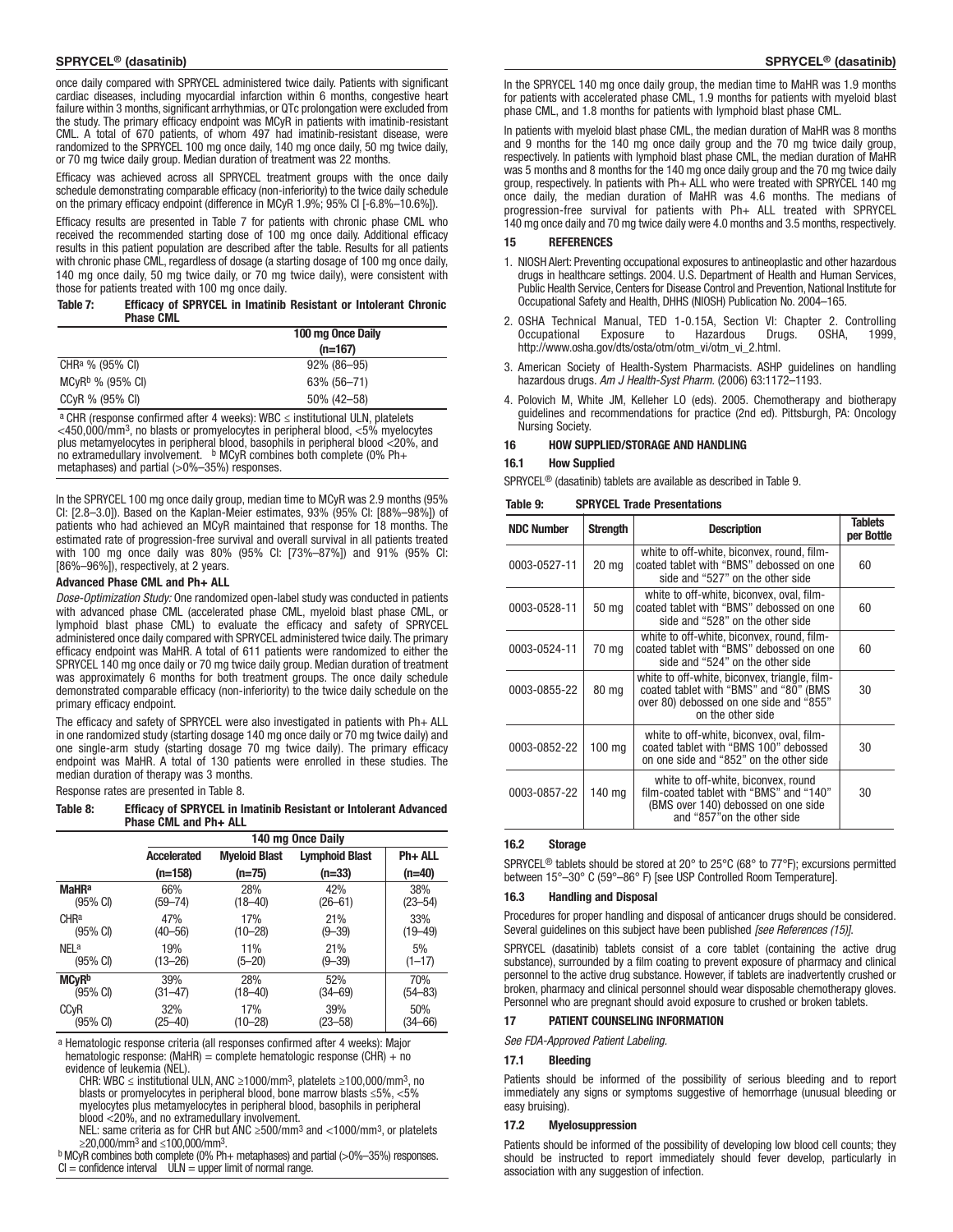once daily compared with SPRYCEL administered twice daily. Patients with significant cardiac diseases, including myocardial infarction within 6 months, congestive heart failure within 3 months, significant arrhythmias, or QTc prolongation were excluded from the study. The primary efficacy endpoint was MCyR in patients with imatinib-resistant CML. A total of 670 patients, of whom 497 had imatinib-resistant disease, were randomized to the SPRYCEL 100 mg once daily, 140 mg once daily, 50 mg twice daily, or 70 mg twice daily group. Median duration of treatment was 22 months.

Efficacy was achieved across all SPRYCEL treatment groups with the once daily schedule demonstrating comparable efficacy (non-inferiority) to the twice daily schedule on the primary efficacy endpoint (difference in MCyR 1.9%; 95% CI [-6.8%–10.6%]).

Efficacy results are presented in Table 7 for patients with chronic phase CML who received the recommended starting dose of 100 mg once daily. Additional efficacy results in this patient population are described after the table. Results for all patients with chronic phase CML, regardless of dosage (a starting dosage of 100 mg once daily, 140 mg once daily, 50 mg twice daily, or 70 mg twice daily), were consistent with those for patients treated with 100 mg once daily.

#### **Table 7: Efficacy of SPRYCEL in Imatinib Resistant or Intolerant Chronic Phase CML**

|                    | 100 mg Once Daily |
|--------------------|-------------------|
|                    | $(n=167)$         |
| CHRa % (95% CI)    | $92\%$ (86-95)    |
| $MCvRb$ % (95% CI) | 63% (56-71)       |
| CCyR % (95% CI)    | 50% (42-58)       |

a CHR (response confirmed after 4 weeks): WBC ≤ institutional ULN, platelets <450,000/mm3, no blasts or promyelocytes in peripheral blood, <5% myelocytes plus metamyelocytes in peripheral blood, basophils in peripheral blood <20%, and no extramedullary involvement. b MCyR combines both complete (0% Ph+ metaphases) and partial (>0%–35%) responses.

In the SPRYCEL 100 mg once daily group, median time to MCyR was 2.9 months (95% CI: [2.8–3.0]). Based on the Kaplan-Meier estimates, 93% (95% CI: [88%–98%]) of patients who had achieved an MCyR maintained that response for 18 months. The estimated rate of progression-free survival and overall survival in all patients treated with 100 mg once daily was 80% (95% CI: [73%–87%]) and 91% (95% CI: [86%–96%]), respectively, at 2 years.

## **Advanced Phase CML and Ph+ ALL**

Dose-Optimization Study: One randomized open-label study was conducted in patients with advanced phase CML (accelerated phase CML, myeloid blast phase CML, or lymphoid blast phase CML) to evaluate the efficacy and safety of SPRYCEL administered once daily compared with SPRYCEL administered twice daily. The primary efficacy endpoint was MaHR. A total of 611 patients were randomized to either the SPRYCEL 140 mg once daily or 70 mg twice daily group. Median duration of treatment was approximately 6 months for both treatment groups. The once daily schedule demonstrated comparable efficacy (non-inferiority) to the twice daily schedule on the primary efficacy endpoint.

The efficacy and safety of SPRYCEL were also investigated in patients with Ph+ ALL in one randomized study (starting dosage 140 mg once daily or 70 mg twice daily) and one single-arm study (starting dosage 70 mg twice daily). The primary efficacy endpoint was MaHR. A total of 130 patients were enrolled in these studies. The median duration of therapy was 3 months.

Response rates are presented in Table 8.

Table 8: Efficacy of SPRYCEL in Imatinib Resistant or Intolerant Advanced **Phase CML and Ph+ ALL**

|                        | 140 mg Once Daily |                      |                       |                |
|------------------------|-------------------|----------------------|-----------------------|----------------|
|                        | Accelerated       | <b>Mveloid Blast</b> | <b>Lymphoid Blast</b> | <b>Ph+ ALL</b> |
|                        | $(n=158)$         | $(n=75)$             | $(n=33)$              | $(n=40)$       |
| <b>MaHRa</b>           | 66%               | 28%                  | 42%                   | 38%            |
| $(95% \text{ Cl})$     | (59–74)           | $(18 - 40)$          | $(26 - 61)$           | $(23 - 54)$    |
| <b>CHRa</b>            | 47%               | 17%                  | 21%                   | 33%            |
| $(95% \text{ Cl})$     | (40–56)           | $(10 - 28)$          | $(9 - 39)$            | $(19 - 49)$    |
| NFI a                  | 19%               | 11%                  | 21%                   | 5%             |
| $(95% \text{ Cl})$     | $(13 - 26)$       | $(5 - 20)$           | $(9 - 39)$            | $(1 - 17)$     |
| <b>MCvRb</b>           | 39%               | 28%                  | 52%                   | <b>70%</b>     |
| (95% CI)               | $(31 - 47)$       | $(18 - 40)$          | $(34 - 69)$           | $(54 - 83)$    |
| <b>CC<sub>V</sub>R</b> | 32%               | 17%                  | 39%                   | 50%            |
| (95% CI)               | $(25 - 40)$       | $(10 - 28)$          | $(23 - 58)$           | (34–66)        |

a Hematologic response criteria (all responses confirmed after 4 weeks): Major hematologic response: (MaHR) = complete hematologic response (CHR) + no evidence of leukemia (NEL).

CHR: WBC ≤ institutional ULN, ANC ≥1000/mm<sup>3</sup>, platelets ≥100,000/mm<sup>3</sup>, no blasts or promyelocytes in peripheral blood, bone marrow blasts ≤5%, <5% myelocytes plus metamyelocytes in peripheral blood, basophils in peripheral

blood <20%, and no extramedullary involvement.<br>NEL: same criteria as for CHR but ANC ≥500/mm<sup>3</sup> and <1000/mm<sup>3</sup>, or platelets

≥20,000/mm3 and ≤100,000/mm3. b MCyR combines both complete (0% Ph+ metaphases) and partial (>0%–35%) responses.  $Cl =$  confidence interval  $ULN =$  upper limit of normal range.

In the SPRYCEL 140 mg once daily group, the median time to MaHR was 1.9 months for patients with accelerated phase CML, 1.9 months for patients with myeloid blast phase CML, and 1.8 months for patients with lymphoid blast phase CML.

In patients with myeloid blast phase CML, the median duration of MaHR was 8 months and 9 months for the 140 mg once daily group and the 70 mg twice daily group, respectively. In patients with lymphoid blast phase CML, the median duration of MaHR was 5 months and 8 months for the 140 mg once daily group and the 70 mg twice daily group, respectively. In patients with Ph+ ALL who were treated with SPRYCEL 140 mg once daily, the median duration of MaHR was 4.6 months. The medians of progression-free survival for patients with Ph+ ALL treated with SPRYCEL 140 mg once daily and 70 mg twice daily were 4.0 months and 3.5 months, respectively.

## **15 REFERENCES**

- 1. NIOSH Alert: Preventing occupational exposures to antineoplastic and other hazardous drugs in healthcare settings. 2004. U.S. Department of Health and Human Services, Public Health Service, Centers for Disease Control and Prevention, National Institute for Occupational Safety and Health, DHHS (NIOSH) Publication No. 2004–165.
- 2. OSHA Technical Manual, TED 1-0.15A, Section VI: Chapter 2. Controlling Exposure to Hazardous Drugs. OSHA, 1999, http://www.osha.gov/dts/osta/otm/otm\_vi/otm\_vi\_2.html.
- 3. American Society of Health-System Pharmacists. ASHP guidelines on handling hazardous drugs. Am J Health-Syst Pharm. (2006) 63:1172-1193.
- 4. Polovich M, White JM, Kelleher LO (eds). 2005. Chemotherapy and biotherapy guidelines and recommendations for practice (2nd ed). Pittsburgh, PA: Oncology Nursing Society.

## **16 HOW SUPPLIED/STORAGE AND HANDLING**

## **16.1 How Supplied**

SPRYCEL® (dasatinib) tablets are available as described in Table 9.

#### **Table 9: SPRYCEL Trade Presentations**

| <b>NDC Number</b> | <b>Strength</b>  | <b>Description</b>                                                                                                                                      | Tablets<br>per Bottle |
|-------------------|------------------|---------------------------------------------------------------------------------------------------------------------------------------------------------|-----------------------|
| 0003-0527-11      | 20 <sub>mg</sub> | white to off-white, biconvex, round, film-<br>coated tablet with "BMS" debossed on one<br>side and "527" on the other side                              | 60                    |
| 0003-0528-11      | 50 mg            | white to off-white, biconvex, oval, film-<br>coated tablet with "BMS" debossed on one<br>side and "528" on the other side                               | 60                    |
| 0003-0524-11      | 70 mg            | white to off-white, biconvex, round, film-<br>coated tablet with "BMS" debossed on one<br>side and "524" on the other side                              | 60                    |
| 0003-0855-22      | 80 <sub>mg</sub> | white to off-white, biconvex, triangle, film-<br>coated tablet with "BMS" and "80" (BMS<br>over 80) debossed on one side and "855"<br>on the other side | 30                    |
| 0003-0852-22      | $100 \text{ ma}$ | white to off-white, biconvex, oval, film-<br>coated tablet with "BMS 100" debossed<br>on one side and "852" on the other side                           | 30                    |
| 0003-0857-22      | 140 mg           | white to off-white, biconvex, round<br>film-coated tablet with "BMS" and "140"<br>(BMS over 140) debossed on one side<br>and "857" on the other side    | 30                    |

## **16.2 Storage**

SPRYCEL® tablets should be stored at 20° to 25°C (68° to 77°F); excursions permitted between 15°–30° C (59°–86° F) [see USP Controlled Room Temperature].

## **16.3 Handling and Disposal**

Procedures for proper handling and disposal of anticancer drugs should be considered. Several quidelines on this subject have been published [see References (15)].

SPRYCEL (dasatinib) tablets consist of a core tablet (containing the active drug substance), surrounded by a film coating to prevent exposure of pharmacy and clinical personnel to the active drug substance. However, if tablets are inadvertently crushed or broken, pharmacy and clinical personnel should wear disposable chemotherapy gloves. Personnel who are pregnant should avoid exposure to crushed or broken tablets.

## **17 PATIENT COUNSELING INFORMATION**

See FDA-Approved Patient Labeling.

#### **17.1 Bleeding**

Patients should be informed of the possibility of serious bleeding and to report immediately any signs or symptoms suggestive of hemorrhage (unusual bleeding or easy bruising).

#### **17.2 Myelosuppression**

Patients should be informed of the possibility of developing low blood cell counts; they should be instructed to report immediately should fever develop, particularly in association with any suggestion of infection.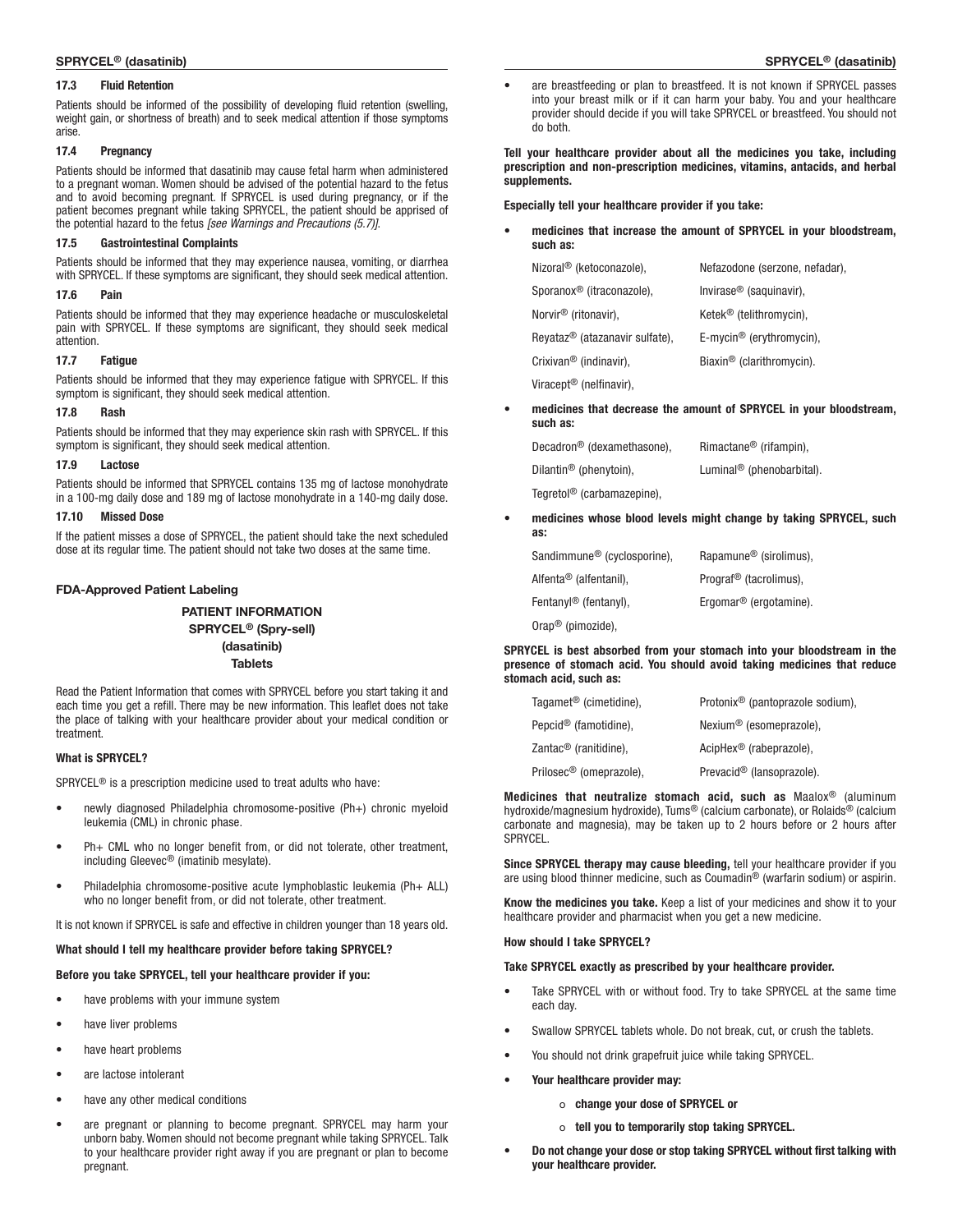## **17.3 Fluid Retention**

Patients should be informed of the possibility of developing fluid retention (swelling, weight gain, or shortness of breath) and to seek medical attention if those symptoms arise.

## **17.4 Pregnancy**

Patients should be informed that dasatinib may cause fetal harm when administered to a pregnant woman. Women should be advised of the potential hazard to the fetus and to avoid becoming pregnant. If SPRYCEL is used during pregnancy, or if the patient becomes pregnant while taking SPRYCEL, the patient should be apprised of the potential hazard to the fetus [see Warnings and Precautions (5.7)].

## **17.5 Gastrointestinal Complaints**

Patients should be informed that they may experience nausea, vomiting, or diarrhea with SPRYCEL. If these symptoms are significant, they should seek medical attention.

## **17.6 Pain**

Patients should be informed that they may experience headache or musculoskeletal pain with SPRYCEL. If these symptoms are significant, they should seek medical attention.

## **17.7 Fatigue**

Patients should be informed that they may experience fatigue with SPRYCEL. If this symptom is significant, they should seek medical attention.

## **17.8 Rash**

Patients should be informed that they may experience skin rash with SPRYCEL. If this symptom is significant, they should seek medical attention.

## **17.9 Lactose**

Patients should be informed that SPRYCEL contains 135 mg of lactose monohydrate in a 100-mg daily dose and 189 mg of lactose monohydrate in a 140-mg daily dose.

## **17.10 Missed Dose**

If the patient misses a dose of SPRYCEL, the patient should take the next scheduled dose at its regular time. The patient should not take two doses at the same time.

## **FDA-Approved Patient Labeling**

**PATIENT INFORMATION SPRYCEL® (Spry-sell) (dasatinib) Tablets**

Read the Patient Information that comes with SPRYCEL before you start taking it and each time you get a refill. There may be new information. This leaflet does not take the place of talking with your healthcare provider about your medical condition or treatment.

## **What is SPRYCEL?**

SPRYCEL® is a prescription medicine used to treat adults who have:

- newly diagnosed Philadelphia chromosome-positive (Ph+) chronic myeloid leukemia (CML) in chronic phase.
- Ph+ CML who no longer benefit from, or did not tolerate, other treatment, including Gleevec® (imatinib mesylate).
- Philadelphia chromosome-positive acute lymphoblastic leukemia (Ph+ ALL) who no longer benefit from, or did not tolerate, other treatment.

It is not known if SPRYCEL is safe and effective in children younger than 18 years old.

## **What should I tell my healthcare provider before taking SPRYCEL?**

## **Before you take SPRYCEL, tell your healthcare provider if you:**

- have problems with your immune system
- have liver problems
- have heart problems
- are lactose intolerant
- have any other medical conditions
- are pregnant or planning to become pregnant. SPRYCEL may harm your unborn baby. Women should not become pregnant while taking SPRYCEL. Talk to your healthcare provider right away if you are pregnant or plan to become pregnant.

• are breastfeeding or plan to breastfeed. It is not known if SPRYCEL passes into your breast milk or if it can harm your baby. You and your healthcare provider should decide if you will take SPRYCEL or breastfeed. You should not do both.

**Tell your healthcare provider about all the medicines you take, including prescription and non-prescription medicines, vitamins, antacids, and herbal supplements.** 

**Especially tell your healthcare provider if you take:**

**• medicines that increase the amount of SPRYCEL in your bloodstream, such as:**

| Nizoral <sup>®</sup> (ketoconazole),       | Nefazodone (serzone, nefadar),        |
|--------------------------------------------|---------------------------------------|
| Sporanox <sup>®</sup> (itraconazole),      | Invirase <sup>®</sup> (saquinavir),   |
| Norvir <sup>®</sup> (ritonavir),           | Ketek <sup>®</sup> (telithromycin),   |
| Reyataz <sup>®</sup> (atazanavir sulfate), | E-mycin <sup>®</sup> (erythromycin),  |
| Crixivan <sup>®</sup> (indinavir),         | Biaxin <sup>®</sup> (clarithromycin). |
| Viracept <sup>®</sup> (nelfinavir),        |                                       |

**• medicines that decrease the amount of SPRYCEL in your bloodstream, such as:**

| Decadron <sup>®</sup> (dexamethasone), | Rimactane <sup>®</sup> (rifampin),    |
|----------------------------------------|---------------------------------------|
| Dilantin <sup>®</sup> (phenytoin),     | Luminal <sup>®</sup> (phenobarbital). |
| Tegretol <sup>®</sup> (carbamazepine), |                                       |

**• medicines whose blood levels might change by taking SPRYCEL, such as:** 

| Sandimmune <sup>®</sup> (cyclosporine), | Rapamune <sup>®</sup> (sirolimus). |
|-----------------------------------------|------------------------------------|
| Alfenta <sup>®</sup> (alfentanil),      | Prograf <sup>®</sup> (tacrolimus), |
| Fentanyl <sup>®</sup> (fentanyl),       | Ergomar <sup>®</sup> (ergotamine). |

Orap® (pimozide),

## **SPRYCEL is best absorbed from your stomach into your bloodstream in the presence of stomach acid. You should avoid taking medicines that reduce stomach acid, such as:**

| Tagamet <sup>®</sup> (cimetidine),  | Protonix <sup>®</sup> (pantoprazole sodium), |
|-------------------------------------|----------------------------------------------|
| Pepcid <sup>®</sup> (famotidine),   | Nexium <sup>®</sup> (esomeprazole),          |
| Zantac <sup>®</sup> (ranitidine),   | AcipHex <sup>®</sup> (rabeprazole),          |
| Prilosec <sup>®</sup> (omeprazole), | Prevacid <sup>®</sup> (lansoprazole).        |

**Medicines that neutralize stomach acid, such as** Maalox® (aluminum hydroxide/magnesium hydroxide), Tums<sup>®</sup> (calcium carbonate), or Rolaids<sup>®</sup> (calcium carbonate and magnesia), may be taken up to 2 hours before or 2 hours after SPRYCEL.

**Since SPRYCEL therapy may cause bleeding,** tell your healthcare provider if you are using blood thinner medicine, such as Coumadin® (warfarin sodium) or aspirin.

**Know the medicines you take.** Keep a list of your medicines and show it to your healthcare provider and pharmacist when you get a new medicine.

## **How should I take SPRYCEL?**

## **Take SPRYCEL exactly as prescribed by your healthcare provider.**

- Take SPRYCEL with or without food. Try to take SPRYCEL at the same time each day.
- Swallow SPRYCEL tablets whole. Do not break, cut, or crush the tablets.
- You should not drink grapefruit juice while taking SPRYCEL.
- **Your healthcare provider may:**
	- o **change your dose of SPRYCEL or**
	- o **tell you to temporarily stop taking SPRYCEL.**
- **Do not change your dose or stop taking SPRYCEL without first talking with your healthcare provider.**